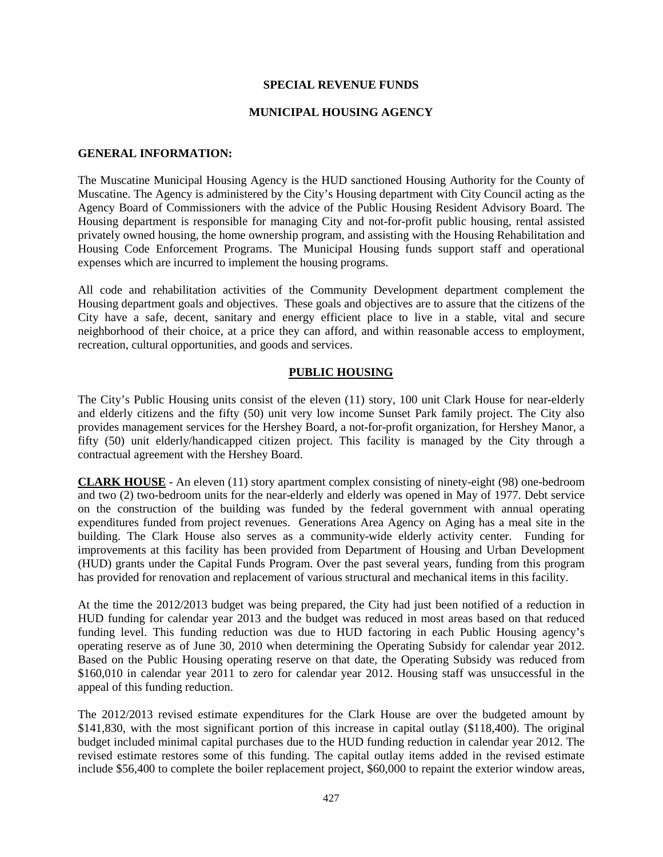#### **SPECIAL REVENUE FUNDS**

#### **MUNICIPAL HOUSING AGENCY**

#### **GENERAL INFORMATION:**

The Muscatine Municipal Housing Agency is the HUD sanctioned Housing Authority for the County of Muscatine. The Agency is administered by the City's Housing department with City Council acting as the Agency Board of Commissioners with the advice of the Public Housing Resident Advisory Board. The Housing department is responsible for managing City and not-for-profit public housing, rental assisted privately owned housing, the home ownership program, and assisting with the Housing Rehabilitation and Housing Code Enforcement Programs. The Municipal Housing funds support staff and operational expenses which are incurred to implement the housing programs.

All code and rehabilitation activities of the Community Development department complement the Housing department goals and objectives. These goals and objectives are to assure that the citizens of the City have a safe, decent, sanitary and energy efficient place to live in a stable, vital and secure neighborhood of their choice, at a price they can afford, and within reasonable access to employment, recreation, cultural opportunities, and goods and services.

#### **PUBLIC HOUSING**

The City's Public Housing units consist of the eleven (11) story, 100 unit Clark House for near-elderly and elderly citizens and the fifty (50) unit very low income Sunset Park family project. The City also provides management services for the Hershey Board, a not-for-profit organization, for Hershey Manor, a fifty (50) unit elderly/handicapped citizen project. This facility is managed by the City through a contractual agreement with the Hershey Board.

**CLARK HOUSE** - An eleven (11) story apartment complex consisting of ninety-eight (98) one-bedroom and two (2) two-bedroom units for the near-elderly and elderly was opened in May of 1977. Debt service on the construction of the building was funded by the federal government with annual operating expenditures funded from project revenues. Generations Area Agency on Aging has a meal site in the building. The Clark House also serves as a community-wide elderly activity center. Funding for improvements at this facility has been provided from Department of Housing and Urban Development (HUD) grants under the Capital Funds Program. Over the past several years, funding from this program has provided for renovation and replacement of various structural and mechanical items in this facility.

At the time the 2012/2013 budget was being prepared, the City had just been notified of a reduction in HUD funding for calendar year 2013 and the budget was reduced in most areas based on that reduced funding level. This funding reduction was due to HUD factoring in each Public Housing agency's operating reserve as of June 30, 2010 when determining the Operating Subsidy for calendar year 2012. Based on the Public Housing operating reserve on that date, the Operating Subsidy was reduced from \$160,010 in calendar year 2011 to zero for calendar year 2012. Housing staff was unsuccessful in the appeal of this funding reduction.

The 2012/2013 revised estimate expenditures for the Clark House are over the budgeted amount by \$141,830, with the most significant portion of this increase in capital outlay (\$118,400). The original budget included minimal capital purchases due to the HUD funding reduction in calendar year 2012. The revised estimate restores some of this funding. The capital outlay items added in the revised estimate include \$56,400 to complete the boiler replacement project, \$60,000 to repaint the exterior window areas,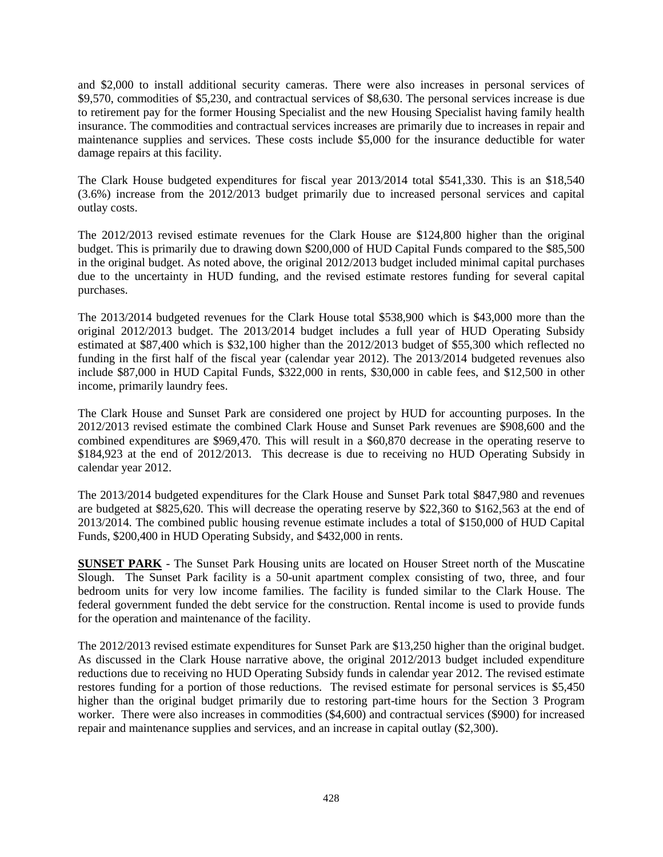and \$2,000 to install additional security cameras. There were also increases in personal services of \$9,570, commodities of \$5,230, and contractual services of \$8,630. The personal services increase is due to retirement pay for the former Housing Specialist and the new Housing Specialist having family health insurance. The commodities and contractual services increases are primarily due to increases in repair and maintenance supplies and services. These costs include \$5,000 for the insurance deductible for water damage repairs at this facility.

The Clark House budgeted expenditures for fiscal year 2013/2014 total \$541,330. This is an \$18,540 (3.6%) increase from the 2012/2013 budget primarily due to increased personal services and capital outlay costs.

The 2012/2013 revised estimate revenues for the Clark House are \$124,800 higher than the original budget. This is primarily due to drawing down \$200,000 of HUD Capital Funds compared to the \$85,500 in the original budget. As noted above, the original 2012/2013 budget included minimal capital purchases due to the uncertainty in HUD funding, and the revised estimate restores funding for several capital purchases.

The 2013/2014 budgeted revenues for the Clark House total \$538,900 which is \$43,000 more than the original 2012/2013 budget. The 2013/2014 budget includes a full year of HUD Operating Subsidy estimated at \$87,400 which is \$32,100 higher than the 2012/2013 budget of \$55,300 which reflected no funding in the first half of the fiscal year (calendar year 2012). The 2013/2014 budgeted revenues also include \$87,000 in HUD Capital Funds, \$322,000 in rents, \$30,000 in cable fees, and \$12,500 in other income, primarily laundry fees.

The Clark House and Sunset Park are considered one project by HUD for accounting purposes. In the 2012/2013 revised estimate the combined Clark House and Sunset Park revenues are \$908,600 and the combined expenditures are \$969,470. This will result in a \$60,870 decrease in the operating reserve to \$184,923 at the end of 2012/2013. This decrease is due to receiving no HUD Operating Subsidy in calendar year 2012.

The 2013/2014 budgeted expenditures for the Clark House and Sunset Park total \$847,980 and revenues are budgeted at \$825,620. This will decrease the operating reserve by \$22,360 to \$162,563 at the end of 2013/2014. The combined public housing revenue estimate includes a total of \$150,000 of HUD Capital Funds, \$200,400 in HUD Operating Subsidy, and \$432,000 in rents.

**SUNSET PARK** - The Sunset Park Housing units are located on Houser Street north of the Muscatine Slough. The Sunset Park facility is a 50-unit apartment complex consisting of two, three, and four bedroom units for very low income families. The facility is funded similar to the Clark House. The federal government funded the debt service for the construction. Rental income is used to provide funds for the operation and maintenance of the facility.

The 2012/2013 revised estimate expenditures for Sunset Park are \$13,250 higher than the original budget. As discussed in the Clark House narrative above, the original 2012/2013 budget included expenditure reductions due to receiving no HUD Operating Subsidy funds in calendar year 2012. The revised estimate restores funding for a portion of those reductions. The revised estimate for personal services is \$5,450 higher than the original budget primarily due to restoring part-time hours for the Section 3 Program worker. There were also increases in commodities (\$4,600) and contractual services (\$900) for increased repair and maintenance supplies and services, and an increase in capital outlay (\$2,300).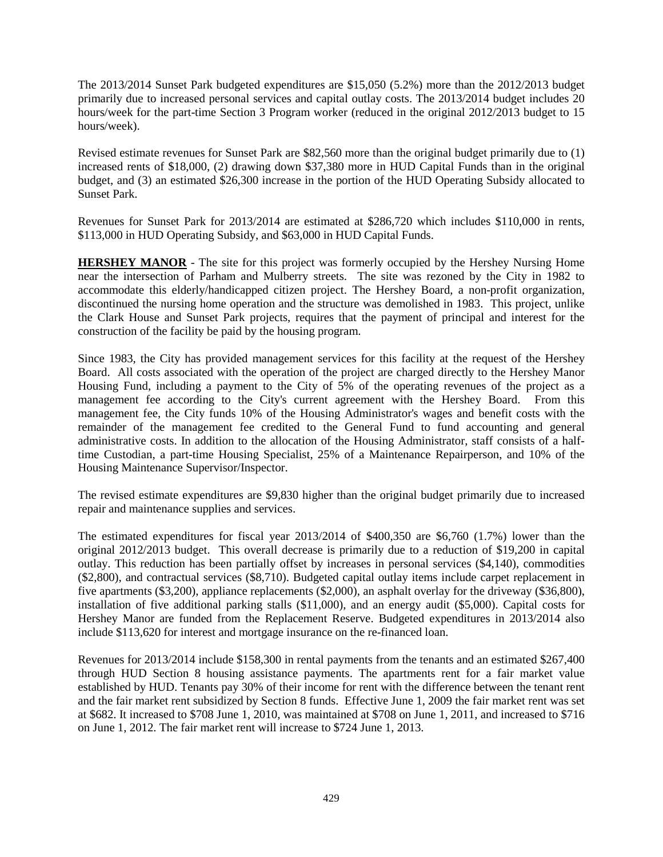The 2013/2014 Sunset Park budgeted expenditures are \$15,050 (5.2%) more than the 2012/2013 budget primarily due to increased personal services and capital outlay costs. The 2013/2014 budget includes 20 hours/week for the part-time Section 3 Program worker (reduced in the original 2012/2013 budget to 15 hours/week).

Revised estimate revenues for Sunset Park are \$82,560 more than the original budget primarily due to (1) increased rents of \$18,000, (2) drawing down \$37,380 more in HUD Capital Funds than in the original budget, and (3) an estimated \$26,300 increase in the portion of the HUD Operating Subsidy allocated to Sunset Park.

Revenues for Sunset Park for 2013/2014 are estimated at \$286,720 which includes \$110,000 in rents, \$113,000 in HUD Operating Subsidy, and \$63,000 in HUD Capital Funds.

**HERSHEY MANOR** - The site for this project was formerly occupied by the Hershey Nursing Home near the intersection of Parham and Mulberry streets. The site was rezoned by the City in 1982 to accommodate this elderly/handicapped citizen project. The Hershey Board, a non-profit organization, discontinued the nursing home operation and the structure was demolished in 1983. This project, unlike the Clark House and Sunset Park projects, requires that the payment of principal and interest for the construction of the facility be paid by the housing program.

Since 1983, the City has provided management services for this facility at the request of the Hershey Board. All costs associated with the operation of the project are charged directly to the Hershey Manor Housing Fund, including a payment to the City of 5% of the operating revenues of the project as a management fee according to the City's current agreement with the Hershey Board. From this management fee, the City funds 10% of the Housing Administrator's wages and benefit costs with the remainder of the management fee credited to the General Fund to fund accounting and general administrative costs. In addition to the allocation of the Housing Administrator, staff consists of a halftime Custodian, a part-time Housing Specialist, 25% of a Maintenance Repairperson, and 10% of the Housing Maintenance Supervisor/Inspector.

The revised estimate expenditures are \$9,830 higher than the original budget primarily due to increased repair and maintenance supplies and services.

The estimated expenditures for fiscal year 2013/2014 of \$400,350 are \$6,760 (1.7%) lower than the original 2012/2013 budget. This overall decrease is primarily due to a reduction of \$19,200 in capital outlay. This reduction has been partially offset by increases in personal services (\$4,140), commodities (\$2,800), and contractual services (\$8,710). Budgeted capital outlay items include carpet replacement in five apartments (\$3,200), appliance replacements (\$2,000), an asphalt overlay for the driveway (\$36,800), installation of five additional parking stalls (\$11,000), and an energy audit (\$5,000). Capital costs for Hershey Manor are funded from the Replacement Reserve. Budgeted expenditures in 2013/2014 also include \$113,620 for interest and mortgage insurance on the re-financed loan.

Revenues for 2013/2014 include \$158,300 in rental payments from the tenants and an estimated \$267,400 through HUD Section 8 housing assistance payments. The apartments rent for a fair market value established by HUD. Tenants pay 30% of their income for rent with the difference between the tenant rent and the fair market rent subsidized by Section 8 funds. Effective June 1, 2009 the fair market rent was set at \$682. It increased to \$708 June 1, 2010, was maintained at \$708 on June 1, 2011, and increased to \$716 on June 1, 2012. The fair market rent will increase to \$724 June 1, 2013.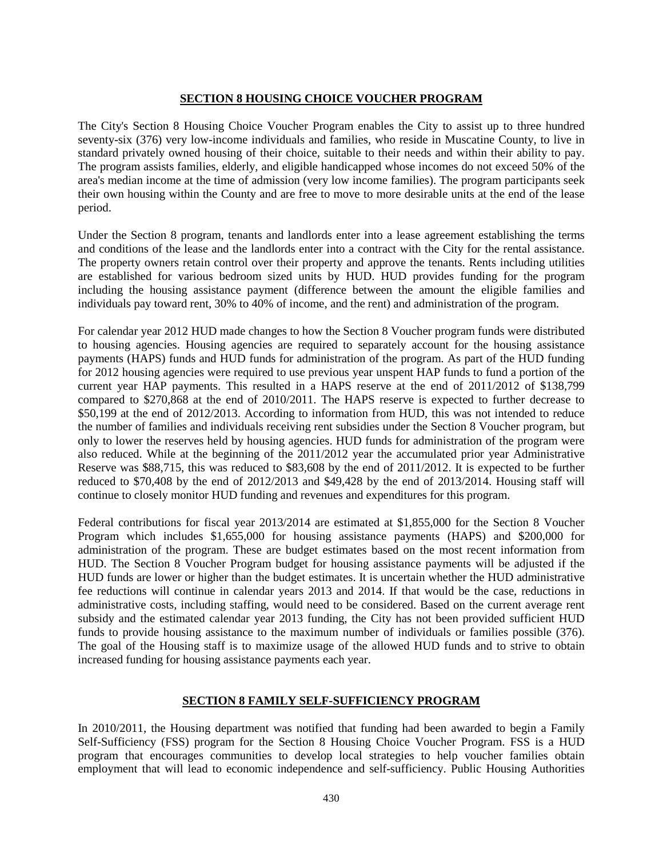# **SECTION 8 HOUSING CHOICE VOUCHER PROGRAM**

The City's Section 8 Housing Choice Voucher Program enables the City to assist up to three hundred seventy-six (376) very low-income individuals and families, who reside in Muscatine County, to live in standard privately owned housing of their choice, suitable to their needs and within their ability to pay. The program assists families, elderly, and eligible handicapped whose incomes do not exceed 50% of the area's median income at the time of admission (very low income families). The program participants seek their own housing within the County and are free to move to more desirable units at the end of the lease period.

Under the Section 8 program, tenants and landlords enter into a lease agreement establishing the terms and conditions of the lease and the landlords enter into a contract with the City for the rental assistance. The property owners retain control over their property and approve the tenants. Rents including utilities are established for various bedroom sized units by HUD. HUD provides funding for the program including the housing assistance payment (difference between the amount the eligible families and individuals pay toward rent, 30% to 40% of income, and the rent) and administration of the program.

For calendar year 2012 HUD made changes to how the Section 8 Voucher program funds were distributed to housing agencies. Housing agencies are required to separately account for the housing assistance payments (HAPS) funds and HUD funds for administration of the program. As part of the HUD funding for 2012 housing agencies were required to use previous year unspent HAP funds to fund a portion of the current year HAP payments. This resulted in a HAPS reserve at the end of 2011/2012 of \$138,799 compared to \$270,868 at the end of 2010/2011. The HAPS reserve is expected to further decrease to \$50,199 at the end of 2012/2013. According to information from HUD, this was not intended to reduce the number of families and individuals receiving rent subsidies under the Section 8 Voucher program, but only to lower the reserves held by housing agencies. HUD funds for administration of the program were also reduced. While at the beginning of the 2011/2012 year the accumulated prior year Administrative Reserve was \$88,715, this was reduced to \$83,608 by the end of 2011/2012. It is expected to be further reduced to \$70,408 by the end of 2012/2013 and \$49,428 by the end of 2013/2014. Housing staff will continue to closely monitor HUD funding and revenues and expenditures for this program.

Federal contributions for fiscal year 2013/2014 are estimated at \$1,855,000 for the Section 8 Voucher Program which includes \$1,655,000 for housing assistance payments (HAPS) and \$200,000 for administration of the program. These are budget estimates based on the most recent information from HUD. The Section 8 Voucher Program budget for housing assistance payments will be adjusted if the HUD funds are lower or higher than the budget estimates. It is uncertain whether the HUD administrative fee reductions will continue in calendar years 2013 and 2014. If that would be the case, reductions in administrative costs, including staffing, would need to be considered. Based on the current average rent subsidy and the estimated calendar year 2013 funding, the City has not been provided sufficient HUD funds to provide housing assistance to the maximum number of individuals or families possible (376). The goal of the Housing staff is to maximize usage of the allowed HUD funds and to strive to obtain increased funding for housing assistance payments each year.

## **SECTION 8 FAMILY SELF-SUFFICIENCY PROGRAM**

In 2010/2011, the Housing department was notified that funding had been awarded to begin a Family Self-Sufficiency (FSS) program for the Section 8 Housing Choice Voucher Program. FSS is a HUD program that encourages communities to develop local strategies to help voucher families obtain employment that will lead to economic independence and self-sufficiency. Public Housing Authorities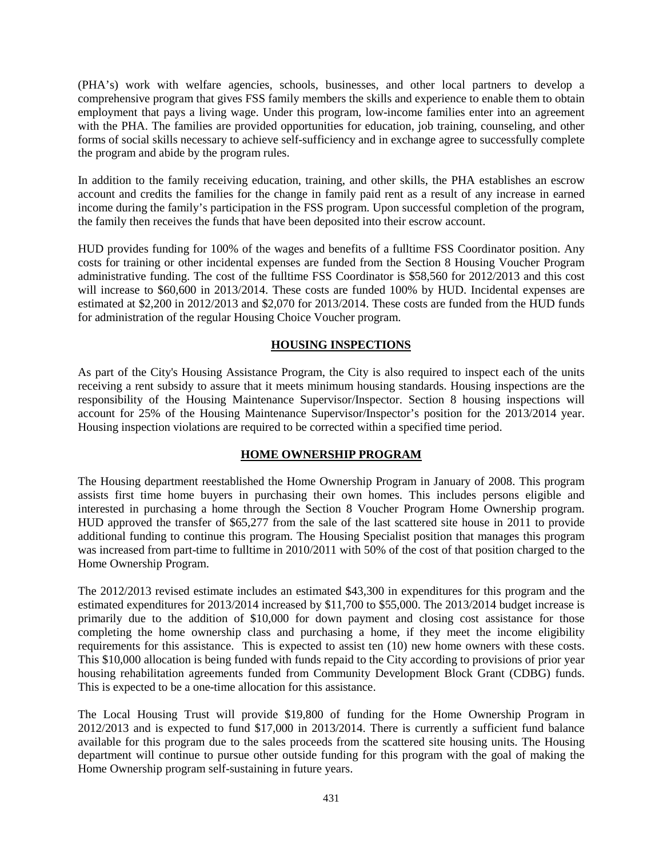(PHA's) work with welfare agencies, schools, businesses, and other local partners to develop a comprehensive program that gives FSS family members the skills and experience to enable them to obtain employment that pays a living wage. Under this program, low-income families enter into an agreement with the PHA. The families are provided opportunities for education, job training, counseling, and other forms of social skills necessary to achieve self-sufficiency and in exchange agree to successfully complete the program and abide by the program rules.

In addition to the family receiving education, training, and other skills, the PHA establishes an escrow account and credits the families for the change in family paid rent as a result of any increase in earned income during the family's participation in the FSS program. Upon successful completion of the program, the family then receives the funds that have been deposited into their escrow account.

HUD provides funding for 100% of the wages and benefits of a fulltime FSS Coordinator position. Any costs for training or other incidental expenses are funded from the Section 8 Housing Voucher Program administrative funding. The cost of the fulltime FSS Coordinator is \$58,560 for 2012/2013 and this cost will increase to \$60,600 in 2013/2014. These costs are funded 100% by HUD. Incidental expenses are estimated at \$2,200 in 2012/2013 and \$2,070 for 2013/2014. These costs are funded from the HUD funds for administration of the regular Housing Choice Voucher program.

# **HOUSING INSPECTIONS**

As part of the City's Housing Assistance Program, the City is also required to inspect each of the units receiving a rent subsidy to assure that it meets minimum housing standards. Housing inspections are the responsibility of the Housing Maintenance Supervisor/Inspector. Section 8 housing inspections will account for 25% of the Housing Maintenance Supervisor/Inspector's position for the 2013/2014 year. Housing inspection violations are required to be corrected within a specified time period.

# **HOME OWNERSHIP PROGRAM**

The Housing department reestablished the Home Ownership Program in January of 2008. This program assists first time home buyers in purchasing their own homes. This includes persons eligible and interested in purchasing a home through the Section 8 Voucher Program Home Ownership program. HUD approved the transfer of \$65,277 from the sale of the last scattered site house in 2011 to provide additional funding to continue this program. The Housing Specialist position that manages this program was increased from part-time to fulltime in 2010/2011 with 50% of the cost of that position charged to the Home Ownership Program.

The 2012/2013 revised estimate includes an estimated \$43,300 in expenditures for this program and the estimated expenditures for 2013/2014 increased by \$11,700 to \$55,000. The 2013/2014 budget increase is primarily due to the addition of \$10,000 for down payment and closing cost assistance for those completing the home ownership class and purchasing a home, if they meet the income eligibility requirements for this assistance. This is expected to assist ten (10) new home owners with these costs. This \$10,000 allocation is being funded with funds repaid to the City according to provisions of prior year housing rehabilitation agreements funded from Community Development Block Grant (CDBG) funds. This is expected to be a one-time allocation for this assistance.

The Local Housing Trust will provide \$19,800 of funding for the Home Ownership Program in 2012/2013 and is expected to fund \$17,000 in 2013/2014. There is currently a sufficient fund balance available for this program due to the sales proceeds from the scattered site housing units. The Housing department will continue to pursue other outside funding for this program with the goal of making the Home Ownership program self-sustaining in future years.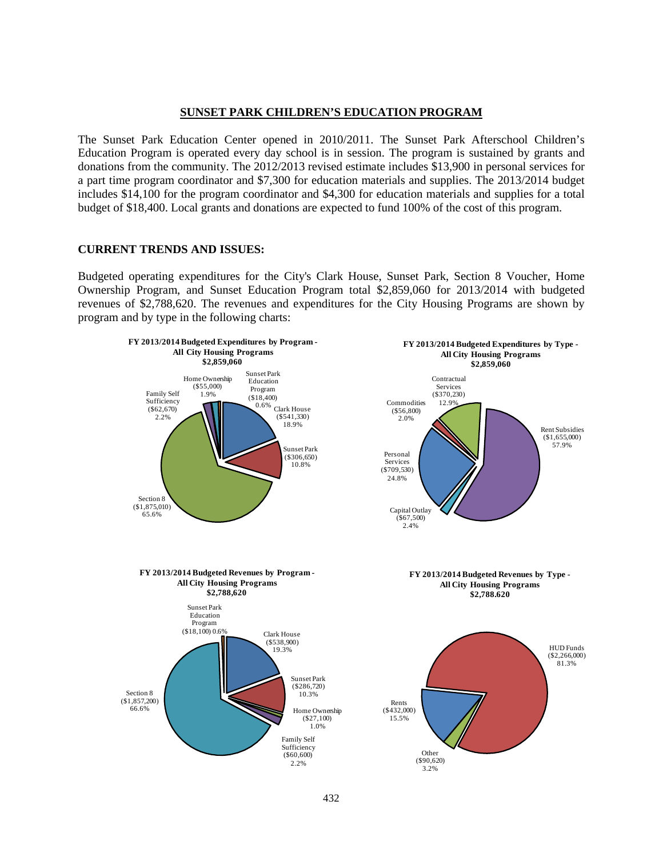#### **SUNSET PARK CHILDREN'S EDUCATION PROGRAM**

The Sunset Park Education Center opened in 2010/2011. The Sunset Park Afterschool Children's Education Program is operated every day school is in session. The program is sustained by grants and donations from the community. The 2012/2013 revised estimate includes \$13,900 in personal services for a part time program coordinator and \$7,300 for education materials and supplies. The 2013/2014 budget includes \$14,100 for the program coordinator and \$4,300 for education materials and supplies for a total budget of \$18,400. Local grants and donations are expected to fund 100% of the cost of this program.

#### **CURRENT TRENDS AND ISSUES:**

Budgeted operating expenditures for the City's Clark House, Sunset Park, Section 8 Voucher, Home Ownership Program, and Sunset Education Program total \$2,859,060 for 2013/2014 with budgeted revenues of \$2,788,620. The revenues and expenditures for the City Housing Programs are shown by program and by type in the following charts:

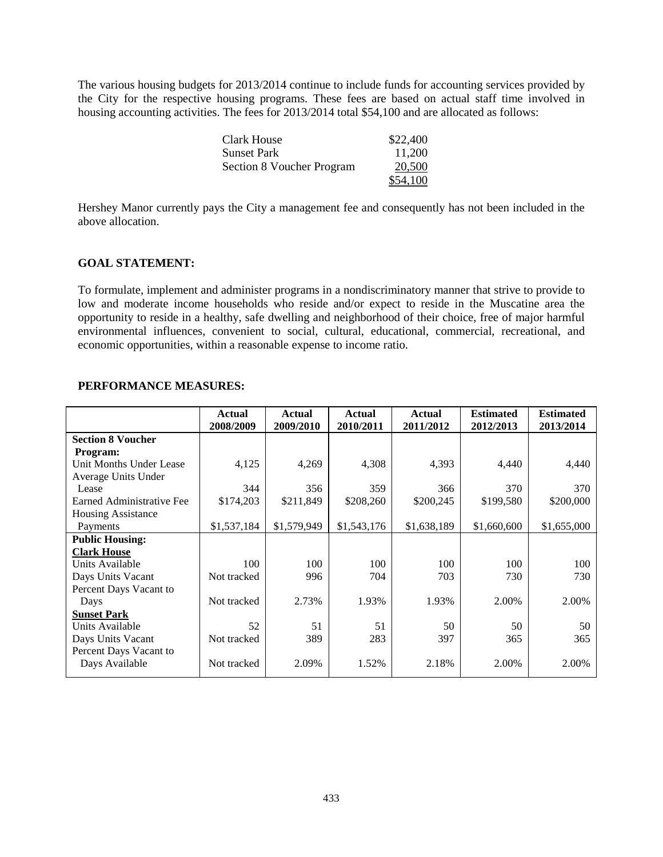The various housing budgets for 2013/2014 continue to include funds for accounting services provided by the City for the respective housing programs. These fees are based on actual staff time involved in housing accounting activities. The fees for 2013/2014 total \$54,100 and are allocated as follows:

| Clark House               | \$22,400 |
|---------------------------|----------|
| <b>Sunset Park</b>        | 11.200   |
| Section 8 Voucher Program | 20,500   |
|                           | \$54,100 |

Hershey Manor currently pays the City a management fee and consequently has not been included in the above allocation.

## **GOAL STATEMENT:**

To formulate, implement and administer programs in a nondiscriminatory manner that strive to provide to low and moderate income households who reside and/or expect to reside in the Muscatine area the opportunity to reside in a healthy, safe dwelling and neighborhood of their choice, free of major harmful environmental influences, convenient to social, cultural, educational, commercial, recreational, and economic opportunities, within a reasonable expense to income ratio.

# **PERFORMANCE MEASURES:**

|                           | <b>Actual</b> | <b>Actual</b> | Actual      | <b>Actual</b> | <b>Estimated</b> | <b>Estimated</b> |
|---------------------------|---------------|---------------|-------------|---------------|------------------|------------------|
|                           | 2008/2009     | 2009/2010     | 2010/2011   | 2011/2012     | 2012/2013        | 2013/2014        |
| <b>Section 8 Voucher</b>  |               |               |             |               |                  |                  |
| Program:                  |               |               |             |               |                  |                  |
| Unit Months Under Lease   | 4,125         | 4,269         | 4,308       | 4,393         | 4,440            | 4,440            |
| Average Units Under       |               |               |             |               |                  |                  |
| Lease                     | 344           | 356           | 359         | 366           | 370              | 370              |
| Earned Administrative Fee | \$174,203     | \$211,849     | \$208,260   | \$200,245     | \$199,580        | \$200,000        |
| <b>Housing Assistance</b> |               |               |             |               |                  |                  |
| Payments                  | \$1,537,184   | \$1,579,949   | \$1,543,176 | \$1,638,189   | \$1,660,600      | \$1,655,000      |
| <b>Public Housing:</b>    |               |               |             |               |                  |                  |
| <b>Clark House</b>        |               |               |             |               |                  |                  |
| Units Available           | 100           | 100           | 100         | 100           | 100              | 100              |
| Days Units Vacant         | Not tracked   | 996           | 704         | 703           | 730              | 730              |
| Percent Days Vacant to    |               |               |             |               |                  |                  |
| Days                      | Not tracked   | 2.73%         | 1.93%       | 1.93%         | 2.00%            | 2.00%            |
| <b>Sunset Park</b>        |               |               |             |               |                  |                  |
| Units Available           | 52            | 51            | 51          | 50            | 50               | 50               |
| Days Units Vacant         | Not tracked   | 389           | 283         | 397           | 365              | 365              |
| Percent Days Vacant to    |               |               |             |               |                  |                  |
| Days Available            | Not tracked   | 2.09%         | 1.52%       | 2.18%         | 2.00%            | 2.00%            |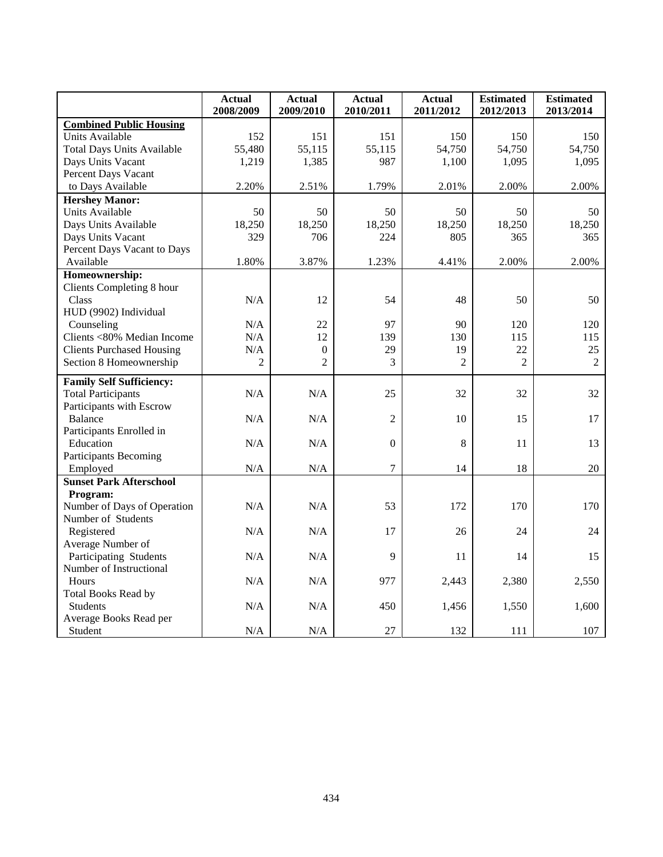|                                   | Actual<br>2008/2009 | <b>Actual</b><br>2009/2010 | <b>Actual</b><br>2010/2011 | <b>Actual</b><br>2011/2012 | <b>Estimated</b><br>2012/2013 | <b>Estimated</b><br>2013/2014 |
|-----------------------------------|---------------------|----------------------------|----------------------------|----------------------------|-------------------------------|-------------------------------|
| <b>Combined Public Housing</b>    |                     |                            |                            |                            |                               |                               |
| Units Available                   | 152                 | 151                        | 151                        | 150                        | 150                           | 150                           |
| <b>Total Days Units Available</b> | 55,480              | 55,115                     | 55,115                     | 54,750                     | 54,750                        | 54,750                        |
| Days Units Vacant                 | 1,219               | 1,385                      | 987                        | 1,100                      | 1,095                         | 1,095                         |
| Percent Days Vacant               |                     |                            |                            |                            |                               |                               |
| to Days Available                 | 2.20%               | 2.51%                      | 1.79%                      | 2.01%                      | 2.00%                         | 2.00%                         |
| <b>Hershey Manor:</b>             |                     |                            |                            |                            |                               |                               |
| Units Available                   | 50                  | 50                         | 50                         | 50                         | 50                            | 50                            |
| Days Units Available              | 18,250              | 18,250                     | 18,250                     | 18,250                     | 18,250                        | 18,250                        |
| Days Units Vacant                 | 329                 | 706                        | 224                        | 805                        | 365                           | 365                           |
| Percent Days Vacant to Days       |                     |                            |                            |                            |                               |                               |
| Available                         | 1.80%               | 3.87%                      | 1.23%                      | 4.41%                      | 2.00%                         | 2.00%                         |
| Homeownership:                    |                     |                            |                            |                            |                               |                               |
| Clients Completing 8 hour         |                     |                            |                            |                            |                               |                               |
| Class                             | N/A                 | 12                         | 54                         | 48                         | 50                            | 50                            |
| HUD (9902) Individual             |                     |                            |                            |                            |                               |                               |
| Counseling                        | N/A                 | 22                         | 97                         | 90                         | 120                           | 120                           |
| Clients <80% Median Income        | N/A                 | 12                         | 139                        | 130                        | 115                           | 115                           |
| <b>Clients Purchased Housing</b>  | N/A                 | $\boldsymbol{0}$           | 29                         | 19                         | 22                            | 25                            |
| Section 8 Homeownership           | 2                   | $\overline{2}$             | 3                          | $\overline{2}$             | $\overline{2}$                | $\overline{2}$                |
| <b>Family Self Sufficiency:</b>   |                     |                            |                            |                            |                               |                               |
| <b>Total Participants</b>         | N/A                 | N/A                        | 25                         | 32                         | 32                            | 32                            |
| Participants with Escrow          |                     |                            |                            |                            |                               |                               |
| Balance                           | N/A                 | N/A                        | $\overline{2}$             | 10                         | 15                            | 17                            |
| Participants Enrolled in          |                     |                            |                            |                            |                               |                               |
| Education                         | N/A                 | N/A                        | $\Omega$                   | 8                          | 11                            | 13                            |
| <b>Participants Becoming</b>      |                     |                            |                            |                            |                               |                               |
| Employed                          | N/A                 | N/A                        | $\overline{7}$             | 14                         | 18                            | 20                            |
| <b>Sunset Park Afterschool</b>    |                     |                            |                            |                            |                               |                               |
| Program:                          |                     |                            |                            |                            |                               |                               |
| Number of Days of Operation       | N/A                 | N/A                        | 53                         | 172                        | 170                           | 170                           |
| Number of Students                |                     |                            |                            |                            |                               |                               |
| Registered                        | N/A                 | N/A                        | 17                         | 26                         | 24                            | 24                            |
| Average Number of                 |                     |                            |                            |                            |                               |                               |
| Participating Students            | N/A                 | N/A                        | 9                          | 11                         | 14                            | 15                            |
| Number of Instructional           |                     |                            |                            |                            |                               |                               |
| Hours                             | N/A                 | N/A                        | 977                        | 2,443                      | 2,380                         | 2,550                         |
| <b>Total Books Read by</b>        |                     |                            |                            |                            |                               |                               |
| <b>Students</b>                   | N/A                 | N/A                        | 450                        | 1,456                      | 1,550                         | 1,600                         |
| Average Books Read per            |                     |                            |                            |                            |                               |                               |
| Student                           | $\rm N/A$           | N/A                        | 27                         | 132                        | 111                           | 107                           |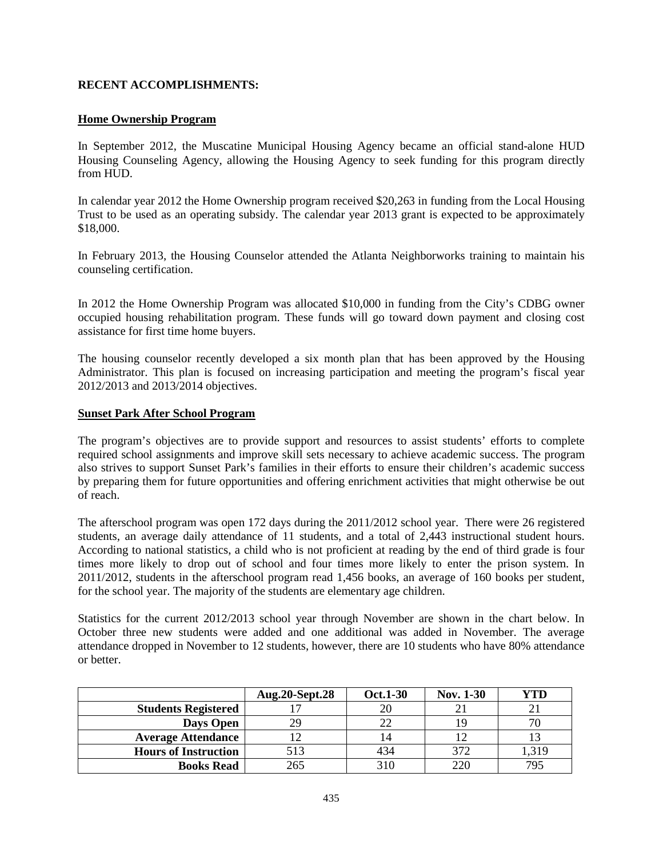## **RECENT ACCOMPLISHMENTS:**

## **Home Ownership Program**

In September 2012, the Muscatine Municipal Housing Agency became an official stand-alone HUD Housing Counseling Agency, allowing the Housing Agency to seek funding for this program directly from HUD.

In calendar year 2012 the Home Ownership program received \$20,263 in funding from the Local Housing Trust to be used as an operating subsidy. The calendar year 2013 grant is expected to be approximately \$18,000.

In February 2013, the Housing Counselor attended the Atlanta Neighborworks training to maintain his counseling certification.

In 2012 the Home Ownership Program was allocated \$10,000 in funding from the City's CDBG owner occupied housing rehabilitation program. These funds will go toward down payment and closing cost assistance for first time home buyers.

The housing counselor recently developed a six month plan that has been approved by the Housing Administrator. This plan is focused on increasing participation and meeting the program's fiscal year 2012/2013 and 2013/2014 objectives.

## **Sunset Park After School Program**

The program's objectives are to provide support and resources to assist students' efforts to complete required school assignments and improve skill sets necessary to achieve academic success. The program also strives to support Sunset Park's families in their efforts to ensure their children's academic success by preparing them for future opportunities and offering enrichment activities that might otherwise be out of reach.

The afterschool program was open 172 days during the 2011/2012 school year. There were 26 registered students, an average daily attendance of 11 students, and a total of 2,443 instructional student hours. According to national statistics, a child who is not proficient at reading by the end of third grade is four times more likely to drop out of school and four times more likely to enter the prison system. In 2011/2012, students in the afterschool program read 1,456 books, an average of 160 books per student, for the school year. The majority of the students are elementary age children.

Statistics for the current 2012/2013 school year through November are shown in the chart below. In October three new students were added and one additional was added in November. The average attendance dropped in November to 12 students, however, there are 10 students who have 80% attendance or better.

|                             | <b>Aug.20-Sept.28</b> | <b>Oct.1-30</b> | <b>Nov. 1-30</b> | YTD   |
|-----------------------------|-----------------------|-----------------|------------------|-------|
| <b>Students Registered</b>  |                       |                 |                  |       |
| <b>Days Open</b>            | 29                    |                 |                  |       |
| <b>Average Attendance</b>   |                       |                 |                  |       |
| <b>Hours of Instruction</b> | 513                   | 434             | 372              | 1,319 |
| <b>Books Read</b>           | 265                   | 310             | 220              | 795   |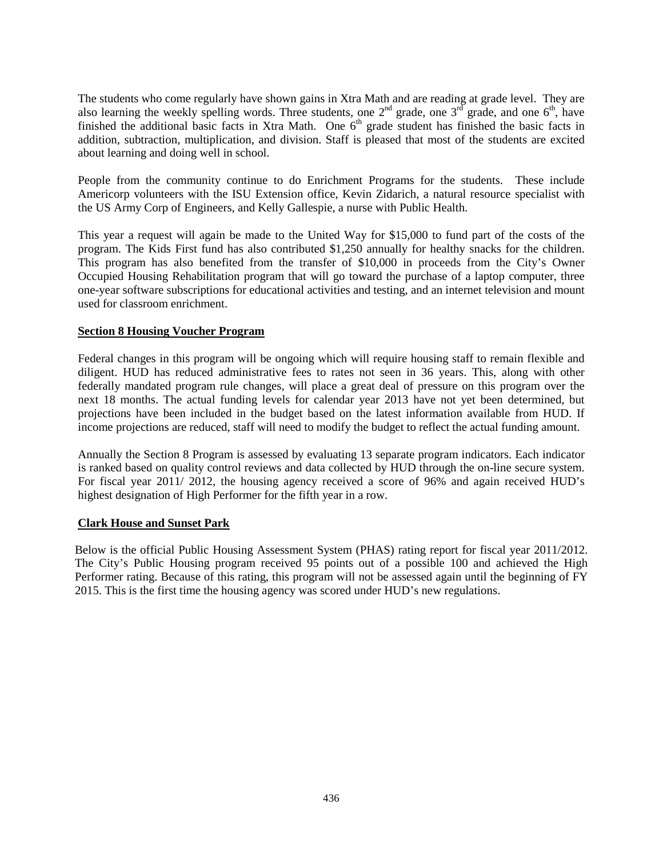The students who come regularly have shown gains in Xtra Math and are reading at grade level. They are also learning the weekly spelling words. Three students, one  $2<sup>nd</sup>$  grade, one  $3<sup>rd</sup>$  grade, and one  $6<sup>th</sup>$ , have finished the additional basic facts in Xtra Math. One  $6<sup>th</sup>$  grade student has finished the basic facts in addition, subtraction, multiplication, and division. Staff is pleased that most of the students are excited about learning and doing well in school.

People from the community continue to do Enrichment Programs for the students. These include Americorp volunteers with the ISU Extension office, Kevin Zidarich, a natural resource specialist with the US Army Corp of Engineers, and Kelly Gallespie, a nurse with Public Health.

This year a request will again be made to the United Way for \$15,000 to fund part of the costs of the program. The Kids First fund has also contributed \$1,250 annually for healthy snacks for the children. This program has also benefited from the transfer of \$10,000 in proceeds from the City's Owner Occupied Housing Rehabilitation program that will go toward the purchase of a laptop computer, three one-year software subscriptions for educational activities and testing, and an internet television and mount used for classroom enrichment.

## **Section 8 Housing Voucher Program**

Federal changes in this program will be ongoing which will require housing staff to remain flexible and diligent. HUD has reduced administrative fees to rates not seen in 36 years. This, along with other federally mandated program rule changes, will place a great deal of pressure on this program over the next 18 months. The actual funding levels for calendar year 2013 have not yet been determined, but projections have been included in the budget based on the latest information available from HUD. If income projections are reduced, staff will need to modify the budget to reflect the actual funding amount.

Annually the Section 8 Program is assessed by evaluating 13 separate program indicators. Each indicator is ranked based on quality control reviews and data collected by HUD through the on-line secure system. For fiscal year 2011/ 2012, the housing agency received a score of 96% and again received HUD's highest designation of High Performer for the fifth year in a row.

## **Clark House and Sunset Park**

Below is the official Public Housing Assessment System (PHAS) rating report for fiscal year 2011/2012. The City's Public Housing program received 95 points out of a possible 100 and achieved the High Performer rating. Because of this rating, this program will not be assessed again until the beginning of FY 2015. This is the first time the housing agency was scored under HUD's new regulations.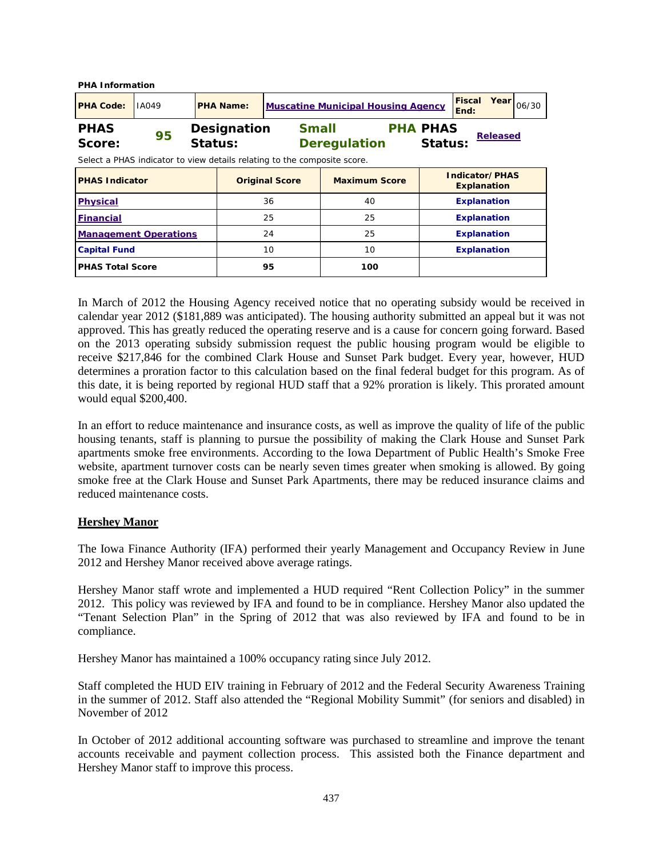| <b>PHA Information</b>  |                                                                                |                  |                                           |                       |                                     |                      |                            |                                      |                 |  |
|-------------------------|--------------------------------------------------------------------------------|------------------|-------------------------------------------|-----------------------|-------------------------------------|----------------------|----------------------------|--------------------------------------|-----------------|--|
| <b>PHA Code:</b>        | IA049                                                                          | <b>PHA Name:</b> | <b>Muscatine Municipal Housing Agency</b> | Year                  | 06/30                               |                      |                            |                                      |                 |  |
| <b>PHAS</b><br>Score:   | 95<br>Select a PHAS indicator to view details relating to the composite score. | Status:          | Designation                               |                       | <b>Small</b><br><b>Deregulation</b> |                      | <b>PHA PHAS</b><br>Status: |                                      | <b>Released</b> |  |
| <b>PHAS Indicator</b>   |                                                                                |                  |                                           | <b>Original Score</b> |                                     | <b>Maximum Score</b> |                            | Indicator/PHAS<br><b>Explanation</b> |                 |  |
| <b>Physical</b>         |                                                                                |                  |                                           | 36                    |                                     | 40                   |                            | <b>Explanation</b>                   |                 |  |
| <b>Financial</b>        |                                                                                |                  |                                           | 25                    |                                     | 25                   |                            | <b>Explanation</b>                   |                 |  |
|                         | 24<br>25<br><b>Explanation</b><br><b>Management Operations</b>                 |                  |                                           |                       |                                     |                      |                            |                                      |                 |  |
| <b>Capital Fund</b>     |                                                                                |                  |                                           | 10                    |                                     | 10                   |                            | <b>Explanation</b>                   |                 |  |
| <b>PHAS Total Score</b> |                                                                                |                  |                                           | 95                    |                                     | 100                  |                            |                                      |                 |  |

In March of 2012 the Housing Agency received notice that no operating subsidy would be received in calendar year 2012 (\$181,889 was anticipated). The housing authority submitted an appeal but it was not approved. This has greatly reduced the operating reserve and is a cause for concern going forward. Based on the 2013 operating subsidy submission request the public housing program would be eligible to receive \$217,846 for the combined Clark House and Sunset Park budget. Every year, however, HUD determines a proration factor to this calculation based on the final federal budget for this program. As of this date, it is being reported by regional HUD staff that a 92% proration is likely. This prorated amount would equal \$200,400.

In an effort to reduce maintenance and insurance costs, as well as improve the quality of life of the public housing tenants, staff is planning to pursue the possibility of making the Clark House and Sunset Park apartments smoke free environments. According to the Iowa Department of Public Health's Smoke Free website, apartment turnover costs can be nearly seven times greater when smoking is allowed. By going smoke free at the Clark House and Sunset Park Apartments, there may be reduced insurance claims and reduced maintenance costs.

## **Hershey Manor**

The Iowa Finance Authority (IFA) performed their yearly Management and Occupancy Review in June 2012 and Hershey Manor received above average ratings.

Hershey Manor staff wrote and implemented a HUD required "Rent Collection Policy" in the summer 2012. This policy was reviewed by IFA and found to be in compliance. Hershey Manor also updated the "Tenant Selection Plan" in the Spring of 2012 that was also reviewed by IFA and found to be in compliance.

Hershey Manor has maintained a 100% occupancy rating since July 2012.

Staff completed the HUD EIV training in February of 2012 and the Federal Security Awareness Training in the summer of 2012. Staff also attended the "Regional Mobility Summit" (for seniors and disabled) in November of 2012

In October of 2012 additional accounting software was purchased to streamline and improve the tenant accounts receivable and payment collection process. This assisted both the Finance department and Hershey Manor staff to improve this process.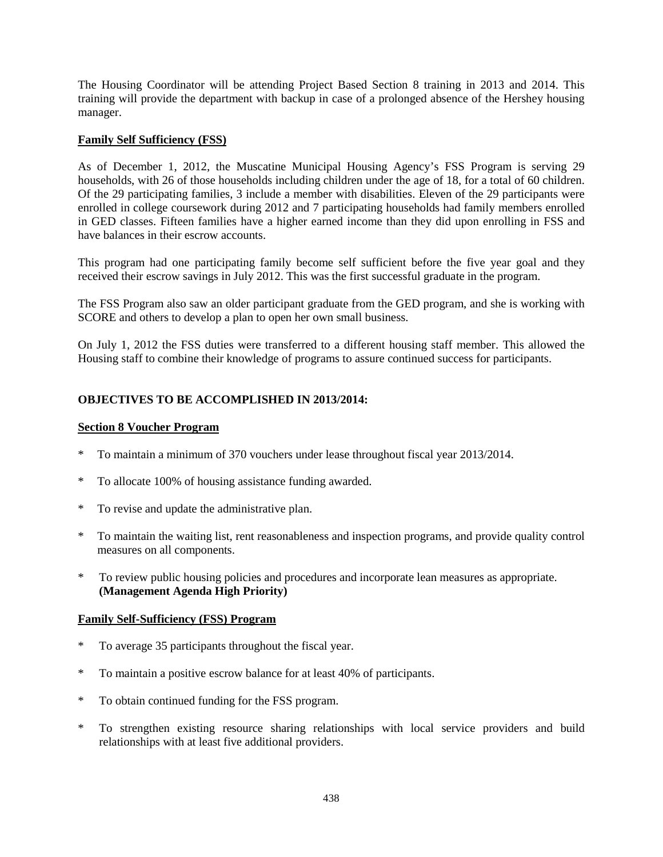The Housing Coordinator will be attending Project Based Section 8 training in 2013 and 2014. This training will provide the department with backup in case of a prolonged absence of the Hershey housing manager.

# **Family Self Sufficiency (FSS)**

As of December 1, 2012, the Muscatine Municipal Housing Agency's FSS Program is serving 29 households, with 26 of those households including children under the age of 18, for a total of 60 children. Of the 29 participating families, 3 include a member with disabilities. Eleven of the 29 participants were enrolled in college coursework during 2012 and 7 participating households had family members enrolled in GED classes. Fifteen families have a higher earned income than they did upon enrolling in FSS and have balances in their escrow accounts.

This program had one participating family become self sufficient before the five year goal and they received their escrow savings in July 2012. This was the first successful graduate in the program.

The FSS Program also saw an older participant graduate from the GED program, and she is working with SCORE and others to develop a plan to open her own small business.

On July 1, 2012 the FSS duties were transferred to a different housing staff member. This allowed the Housing staff to combine their knowledge of programs to assure continued success for participants.

# **OBJECTIVES TO BE ACCOMPLISHED IN 2013/2014:**

#### **Section 8 Voucher Program**

- \* To maintain a minimum of 370 vouchers under lease throughout fiscal year 2013/2014.
- To allocate 100% of housing assistance funding awarded.
- \* To revise and update the administrative plan.
- \* To maintain the waiting list, rent reasonableness and inspection programs, and provide quality control measures on all components.
- \* To review public housing policies and procedures and incorporate lean measures as appropriate. **(Management Agenda High Priority)**

#### **Family Self-Sufficiency (FSS) Program**

- \* To average 35 participants throughout the fiscal year.
- \* To maintain a positive escrow balance for at least 40% of participants.
- \* To obtain continued funding for the FSS program.
- \* To strengthen existing resource sharing relationships with local service providers and build relationships with at least five additional providers.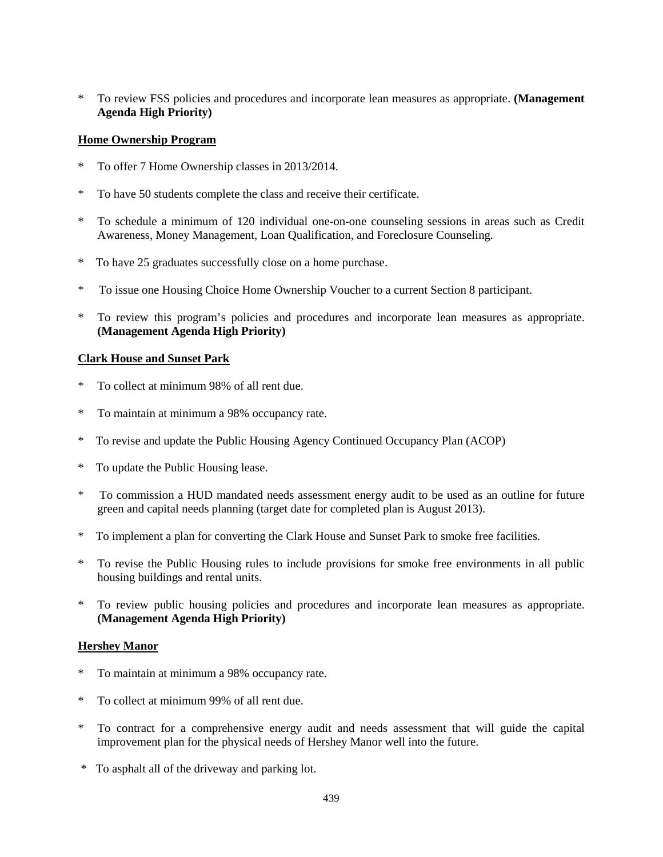\* To review FSS policies and procedures and incorporate lean measures as appropriate. **(Management Agenda High Priority)**

# **Home Ownership Program**

- \* To offer 7 Home Ownership classes in 2013/2014.
- \* To have 50 students complete the class and receive their certificate.
- \* To schedule a minimum of 120 individual one-on-one counseling sessions in areas such as Credit Awareness, Money Management, Loan Qualification, and Foreclosure Counseling.
- \* To have 25 graduates successfully close on a home purchase.
- \* To issue one Housing Choice Home Ownership Voucher to a current Section 8 participant.
- \* To review this program's policies and procedures and incorporate lean measures as appropriate. **(Management Agenda High Priority)**

## **Clark House and Sunset Park**

- \* To collect at minimum 98% of all rent due.
- \* To maintain at minimum a 98% occupancy rate.
- \* To revise and update the Public Housing Agency Continued Occupancy Plan (ACOP)
- \* To update the Public Housing lease.
- \* To commission a HUD mandated needs assessment energy audit to be used as an outline for future green and capital needs planning (target date for completed plan is August 2013).
- \* To implement a plan for converting the Clark House and Sunset Park to smoke free facilities.
- \* To revise the Public Housing rules to include provisions for smoke free environments in all public housing buildings and rental units.
- \* To review public housing policies and procedures and incorporate lean measures as appropriate. **(Management Agenda High Priority)**

## **Hershey Manor**

- \* To maintain at minimum a 98% occupancy rate.
- \* To collect at minimum 99% of all rent due.
- \* To contract for a comprehensive energy audit and needs assessment that will guide the capital improvement plan for the physical needs of Hershey Manor well into the future.
- \* To asphalt all of the driveway and parking lot.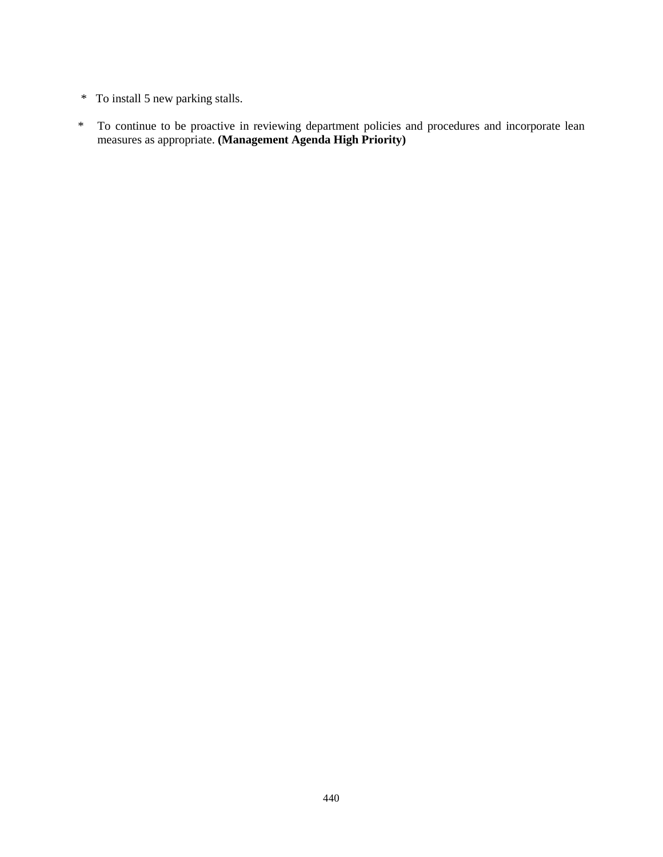- \* To install 5 new parking stalls.
- \* To continue to be proactive in reviewing department policies and procedures and incorporate lean measures as appropriate. **(Management Agenda High Priority)**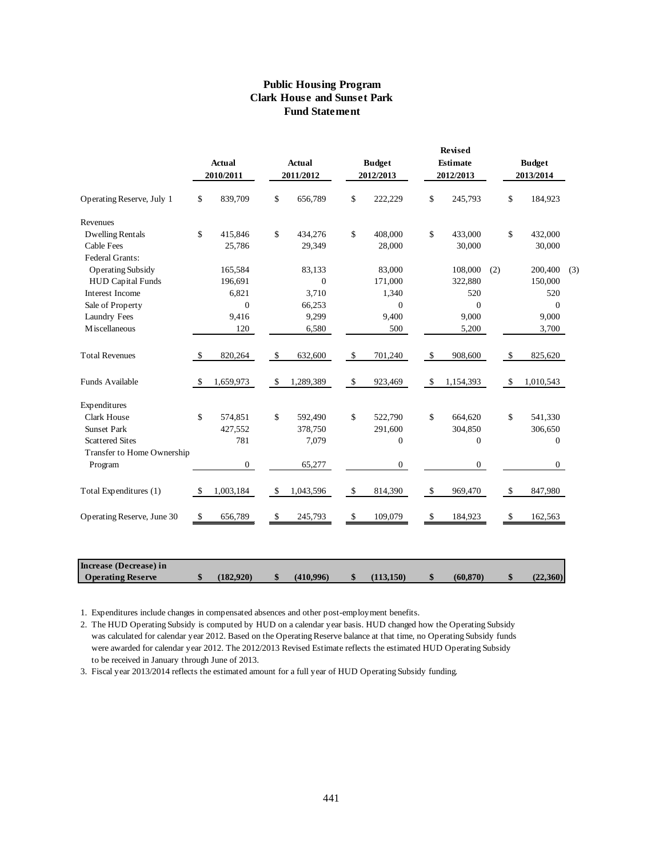#### **Public Housing Program Clark House and Sunset Park Fund Statement**

|                            |               | <b>Actual</b><br>2010/2011 |               | <b>Actual</b><br>2011/2012 |                           | <b>Budget</b><br>2012/2013 |               | <b>Revised</b><br><b>Estimate</b><br>2012/2013 |     | <b>Budget</b><br>2013/2014 |     |
|----------------------------|---------------|----------------------------|---------------|----------------------------|---------------------------|----------------------------|---------------|------------------------------------------------|-----|----------------------------|-----|
| Operating Reserve, July 1  | \$            | 839,709                    | \$            | 656,789                    | \$                        | 222,229                    | \$            | 245,793                                        |     | \$<br>184,923              |     |
| Revenues                   |               |                            |               |                            |                           |                            |               |                                                |     |                            |     |
| <b>Dwelling Rentals</b>    | \$            | 415,846                    | \$            | 434,276                    | \$                        | 408,000                    | \$            | 433,000                                        |     | \$<br>432,000              |     |
| <b>Cable Fees</b>          |               | 25,786                     |               | 29,349                     |                           | 28,000                     |               | 30,000                                         |     | 30,000                     |     |
| Federal Grants:            |               |                            |               |                            |                           |                            |               |                                                |     |                            |     |
| <b>Operating Subsidy</b>   |               | 165,584                    |               | 83,133                     |                           | 83,000                     |               | 108,000                                        | (2) | 200,400                    | (3) |
| <b>HUD Capital Funds</b>   |               | 196,691                    |               | $\mathbf{0}$               |                           | 171,000                    |               | 322,880                                        |     | 150,000                    |     |
| <b>Interest Income</b>     |               | 6,821                      |               | 3,710                      |                           | 1,340                      |               | 520                                            |     | 520                        |     |
| Sale of Property           |               | $\overline{0}$             |               | 66,253                     |                           | $\mathbf{0}$               |               | $\mathbf{0}$                                   |     | $\mathbf{0}$               |     |
| <b>Laundry Fees</b>        |               | 9,416                      |               | 9,299                      |                           | 9,400                      |               | 9,000                                          |     | 9,000                      |     |
| M iscellaneous             |               | 120                        |               | 6,580                      |                           | 500                        |               | 5,200                                          |     | 3,700                      |     |
| <b>Total Revenues</b>      | \$            | 820,264                    | \$            | 632,600                    | $\boldsymbol{\mathsf{S}}$ | 701,240                    | \$            | 908,600                                        |     | \$<br>825,620              |     |
| Funds Available            | $\mathcal{S}$ | 1,659,973                  | <sup>\$</sup> | 1,289,389                  | $\$\,$                    | 923,469                    | $\mathcal{S}$ | 1,154,393                                      |     | \$<br>1,010,543            |     |
| Expenditures               |               |                            |               |                            |                           |                            |               |                                                |     |                            |     |
| <b>Clark House</b>         | \$            | 574,851                    | \$            | 592,490                    | \$                        | 522,790                    | \$            | 664,620                                        |     | \$<br>541,330              |     |
| <b>Sunset Park</b>         |               | 427,552                    |               | 378,750                    |                           | 291,600                    |               | 304,850                                        |     | 306,650                    |     |
| <b>Scattered Sites</b>     |               | 781                        |               | 7,079                      |                           | $\boldsymbol{0}$           |               | $\mathbf{0}$                                   |     | $\boldsymbol{0}$           |     |
| Transfer to Home Ownership |               |                            |               |                            |                           |                            |               |                                                |     |                            |     |
| Program                    |               | $\boldsymbol{0}$           |               | 65,277                     |                           | $\mathbf{0}$               |               | $\mathbf{0}$                                   |     | $\overline{0}$             |     |
| Total Expenditures (1)     | $\mathcal{S}$ | 1,003,184                  | \$            | 1,043,596                  | $\boldsymbol{\mathsf{S}}$ | 814,390                    | $\mathcal{S}$ | 969,470                                        |     | \$<br>847,980              |     |
|                            | -\$           | 656,789                    | \$            | 245,793                    | \$                        | 109,079                    | -\$           | 184,923                                        |     | \$<br>162,563              |     |

1. Expenditures include changes in compensated absences and other post-employment benefits.

2. The HUD Operating Subsidy is computed by HUD on a calendar year basis. HUD changed how the Operating Subsidy was calculated for calendar year 2012. Based on the Operating Reserve balance at that time, no Operating Subsidy funds were awarded for calendar year 2012. The 2012/2013 Revised Estimate reflects the estimated HUD Operating Subsidy to be received in January through June of 2013.

 **Operating Reserve \$ (182,920) \$ (410,996) \$ (113,150) \$ (60,870) \$ (22,360)**

3. Fiscal year 2013/2014 reflects the estimated amount for a full year of HUD Operating Subsidy funding.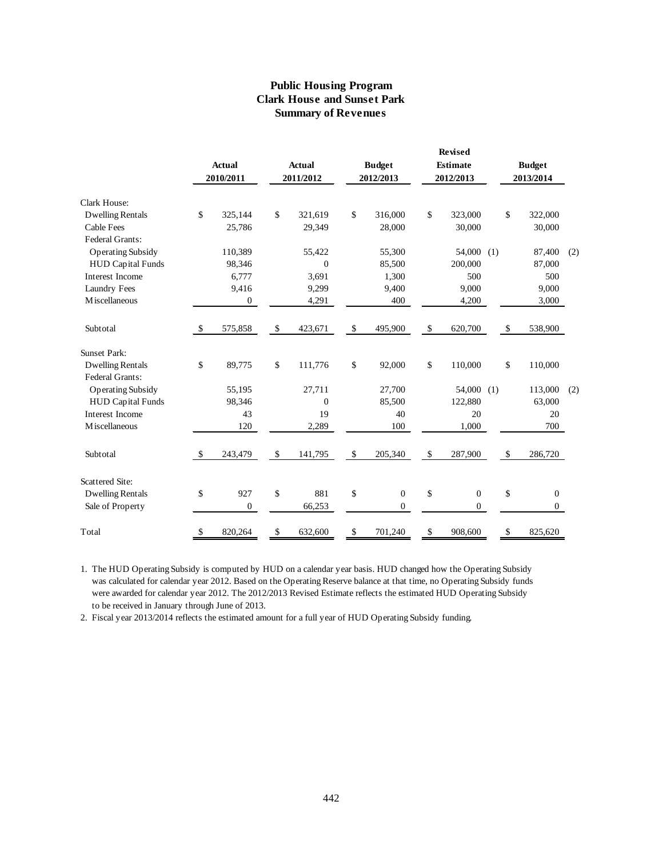## **Public Housing Program Clark House and Sunset Park Summary of Revenues**

|                          |                           |                  |                |                        |              | Revised         |     |                           |                  |     |
|--------------------------|---------------------------|------------------|----------------|------------------------|--------------|-----------------|-----|---------------------------|------------------|-----|
|                          |                           | <b>Actual</b>    | <b>Actual</b>  | <b>Budget</b>          |              | <b>Estimate</b> |     |                           | <b>Budget</b>    |     |
|                          |                           | 2010/2011        | 2011/2012      | 2012/2013              |              | 2012/2013       |     |                           | 2013/2014        |     |
| Clark House:             |                           |                  |                |                        |              |                 |     |                           |                  |     |
| <b>Dwelling Rentals</b>  | \$                        | 325,144          | \$<br>321,619  | \$<br>316,000          | \$           | 323,000         |     | \$                        | 322,000          |     |
| <b>Cable Fees</b>        |                           | 25,786           | 29,349         | 28,000                 |              | 30,000          |     |                           | 30,000           |     |
| Federal Grants:          |                           |                  |                |                        |              |                 |     |                           |                  |     |
| <b>Operating Subsidy</b> |                           | 110,389          | 55,422         | 55,300                 |              | 54,000          | (1) |                           | 87,400           | (2) |
| <b>HUD Capital Funds</b> |                           | 98,346           | $\overline{0}$ | 85,500                 |              | 200,000         |     |                           | 87,000           |     |
| Interest Income          |                           | 6,777            | 3,691          | 1,300                  |              | 500             |     |                           | 500              |     |
| <b>Laundry Fees</b>      |                           | 9,416            | 9,299          | 9,400                  |              | 9,000           |     |                           | 9,000            |     |
| M iscellaneous           |                           | $\mathbf{0}$     | 4,291          | 400                    |              | 4,200           |     |                           | 3,000            |     |
| Subtotal                 | $\boldsymbol{\mathsf{S}}$ | 575,858          | \$<br>423,671  | \$<br>495,900          | $\mathbb{S}$ | 620,700         |     | $\boldsymbol{\mathsf{S}}$ | 538,900          |     |
| <b>Sunset Park:</b>      |                           |                  |                |                        |              |                 |     |                           |                  |     |
| <b>Dwelling Rentals</b>  | \$                        | 89,775           | \$<br>111,776  | \$<br>92,000           | \$           | 110,000         |     | \$                        | 110,000          |     |
| Federal Grants:          |                           |                  |                |                        |              |                 |     |                           |                  |     |
| <b>Operating Subsidy</b> |                           | 55,195           | 27,711         | 27,700                 |              | 54,000          | (1) |                           | 113,000          | (2) |
| <b>HUD Capital Funds</b> |                           | 98,346           | $\overline{0}$ | 85,500                 |              | 122,880         |     |                           | 63,000           |     |
| Interest Income          |                           | 43               | 19             | 40                     |              | 20              |     |                           | 20               |     |
| M iscellaneous           |                           | 120              | 2,289          | 100                    |              | 1,000           |     |                           | 700              |     |
| Subtotal                 | -\$                       | 243,479          | \$<br>141,795  | \$<br>205,340          | $\mathbb{S}$ | 287,900         |     | $\mathcal{S}$             | 286,720          |     |
| <b>Scattered Site:</b>   |                           |                  |                |                        |              |                 |     |                           |                  |     |
| <b>Dwelling Rentals</b>  | \$                        | 927              | \$<br>881      | \$<br>$\boldsymbol{0}$ | \$           | $\mathbf{0}$    |     | \$                        | $\boldsymbol{0}$ |     |
| Sale of Property         |                           | $\boldsymbol{0}$ | 66,253         | $\mathbf{0}$           |              | $\mathbf{0}$    |     |                           | $\overline{0}$   |     |
| Total                    | \$                        | 820,264          | \$<br>632,600  | \$<br>701,240          | \$           | 908,600         |     | \$                        | 825,620          |     |

1. The HUD Operating Subsidy is computed by HUD on a calendar year basis. HUD changed how the Operating Subsidy was calculated for calendar year 2012. Based on the Operating Reserve balance at that time, no Operating Subsidy funds were awarded for calendar year 2012. The 2012/2013 Revised Estimate reflects the estimated HUD Operating Subsidy to be received in January through June of 2013.

2. Fiscal year 2013/2014 reflects the estimated amount for a full year of HUD Operating Subsidy funding.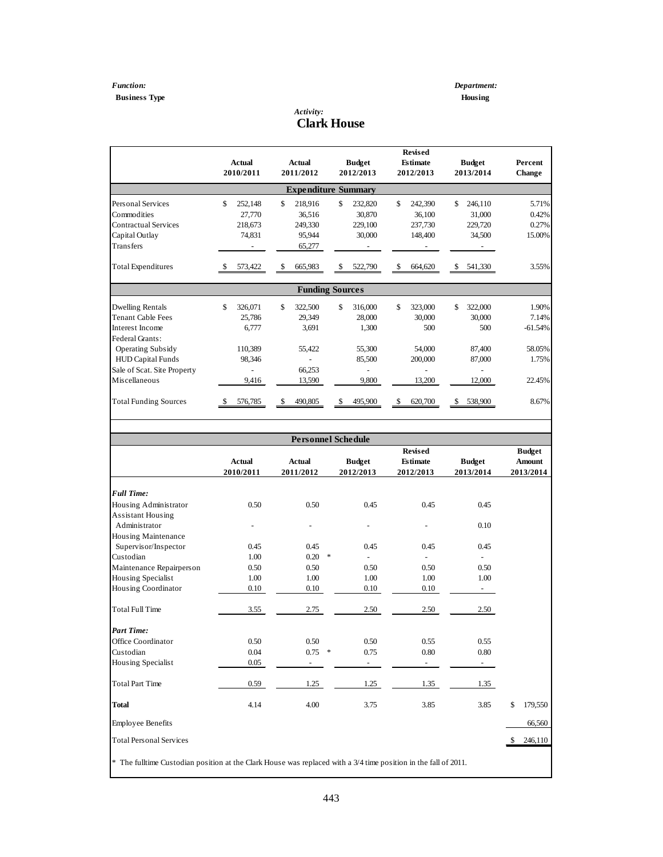# **Business Type Housing**

 $\overline{\phantom{a}}$ 

#### *Activity:* **Clark House**

|                              |     | <b>Actual</b><br>2010/2011 | <b>Actual</b><br>2011/2012 | <b>Budget</b><br>2012/2013 | <b>Revised</b><br>Estimate<br>2012/2013 | <b>Budget</b><br>2013/2014 | Percent<br><b>Change</b> |
|------------------------------|-----|----------------------------|----------------------------|----------------------------|-----------------------------------------|----------------------------|--------------------------|
|                              |     |                            | <b>Expenditure Summary</b> |                            |                                         |                            |                          |
| <b>Personal Services</b>     | \$  | 252,148                    | \$<br>218,916              | \$<br>232,820              | \$<br>242,390                           | \$<br>246.110              | 5.71%                    |
| Commodities                  |     | 27,770                     | 36,516                     | 30,870                     | 36,100                                  | 31,000                     | 0.42%                    |
| Contractual Services         |     | 218,673                    | 249.330                    | 229,100                    | 237,730                                 | 229,720                    | 0.27%                    |
| Capital Outlay               |     | 74,831                     | 95,944                     | 30,000                     | 148,400                                 | 34,500                     | 15.00%                   |
| Transfers                    |     |                            | 65,277                     |                            |                                         |                            |                          |
| <b>Total Expenditures</b>    | \$. | 573,422                    | \$<br>665,983              | \$<br>522,790              | \$<br>664,620                           | \$<br>541,330              | 3.55%                    |
|                              |     |                            | <b>Funding Sources</b>     |                            |                                         |                            |                          |
| <b>Dwelling Rentals</b>      | \$  | 326,071                    | \$<br>322,500              | \$<br>316,000              | \$<br>323,000                           | \$<br>322,000              | 1.90%                    |
| <b>Tenant Cable Fees</b>     |     | 25.786                     | 29.349                     | 28,000                     | 30,000                                  | 30,000                     | 7.14%                    |
| Interest Income              |     | 6,777                      | 3,691                      | 1,300                      | 500                                     | 500                        | $-61.54%$                |
| Federal Grants:              |     |                            |                            |                            |                                         |                            |                          |
| <b>Operating Subsidy</b>     |     | 110,389                    | 55,422                     | 55,300                     | 54,000                                  | 87,400                     | 58.05%                   |
| <b>HUD Capital Funds</b>     |     | 98,346                     |                            | 85,500                     | 200,000                                 | 87,000                     | 1.75%                    |
| Sale of Scat. Site Property  |     |                            | 66,253                     |                            |                                         |                            |                          |
| Miscellaneous                |     | 9,416                      | 13,590                     | 9,800                      | 13,200                                  | 12,000                     | 22.45%                   |
| <b>Total Funding Sources</b> |     | 576,785                    | \$<br>490,805              | \$<br>495,900              | \$<br>620,700                           | \$<br>538,900              | 8.67%                    |

|                                                                                                                 |                            |                            | <b>Personnel Schedule</b>  |                                                |                            |                                             |
|-----------------------------------------------------------------------------------------------------------------|----------------------------|----------------------------|----------------------------|------------------------------------------------|----------------------------|---------------------------------------------|
|                                                                                                                 | <b>Actual</b><br>2010/2011 | <b>Actual</b><br>2011/2012 | <b>Budget</b><br>2012/2013 | <b>Revised</b><br><b>Estimate</b><br>2012/2013 | <b>Budget</b><br>2013/2014 | <b>Budget</b><br><b>Amount</b><br>2013/2014 |
| <b>Full Time:</b>                                                                                               |                            |                            |                            |                                                |                            |                                             |
| Housing Administrator<br><b>Assistant Housing</b>                                                               | 0.50                       | 0.50                       | 0.45                       | 0.45                                           | 0.45                       |                                             |
| Administrator                                                                                                   |                            |                            |                            |                                                | 0.10                       |                                             |
| Housing Maintenance                                                                                             |                            |                            |                            |                                                |                            |                                             |
| Supervisor/Inspector                                                                                            | 0.45                       | 0.45                       | 0.45                       | 0.45                                           | 0.45                       |                                             |
| Custodian                                                                                                       | 1.00                       | 0.20                       | $\ast$                     |                                                |                            |                                             |
| Maintenance Repairperson                                                                                        | 0.50                       | 0.50                       | 0.50                       | 0.50                                           | 0.50                       |                                             |
| Housing Specialist                                                                                              | 1.00                       | 1.00                       | 1.00                       | 1.00                                           | 1.00                       |                                             |
| Housing Coordinator                                                                                             | 0.10                       | 0.10                       | 0.10                       | 0.10                                           | $\blacksquare$             |                                             |
| <b>Total Full Time</b>                                                                                          | 3.55                       | 2.75                       | 2.50                       | 2.50                                           | 2.50                       |                                             |
| <b>Part Time:</b>                                                                                               |                            |                            |                            |                                                |                            |                                             |
| Office Coordinator                                                                                              | 0.50                       | 0.50                       | 0.50                       | 0.55                                           | 0.55                       |                                             |
| Custodian                                                                                                       | 0.04                       | $0.75$ *                   | 0.75                       | 0.80                                           | 0.80                       |                                             |
| Housing Specialist                                                                                              | 0.05                       |                            |                            |                                                |                            |                                             |
| <b>Total Part Time</b>                                                                                          | 0.59                       | 1.25                       | 1.25                       | 1.35                                           | 1.35                       |                                             |
| <b>Total</b>                                                                                                    | 4.14                       | 4.00                       | 3.75                       | 3.85                                           | 3.85                       | \$<br>179,550                               |
| <b>Employee Benefits</b>                                                                                        |                            |                            |                            |                                                |                            | 66,560                                      |
| <b>Total Personal Services</b>                                                                                  |                            |                            |                            |                                                |                            | 246,110<br>$\mathbf{\hat{S}}$               |
| * The fulltime Custodian position at the Clark House was replaced with a 3/4 time position in the fall of 2011. |                            |                            |                            |                                                |                            |                                             |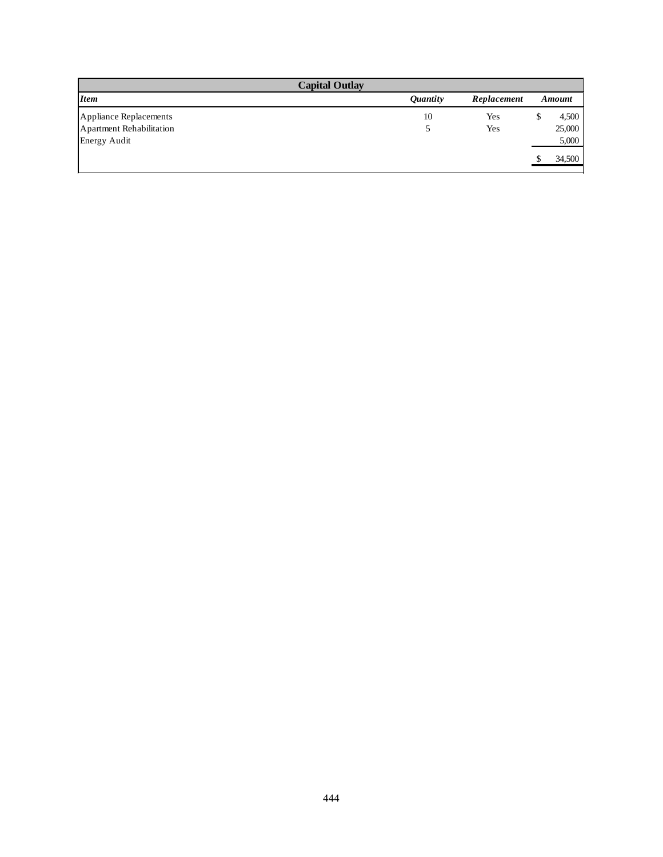|                                 | <b>Capital Outlay</b>  |             |   |        |
|---------------------------------|------------------------|-------------|---|--------|
| <b>Item</b>                     | <i><b>Ouantity</b></i> | Replacement |   | Amount |
| Appliance Replacements          | 10                     | Yes         | Э | 4,500  |
| <b>Apartment Rehabilitation</b> |                        | Yes         |   | 25,000 |
| <b>Energy Audit</b>             |                        |             |   | 5,000  |
|                                 |                        |             |   | 34,500 |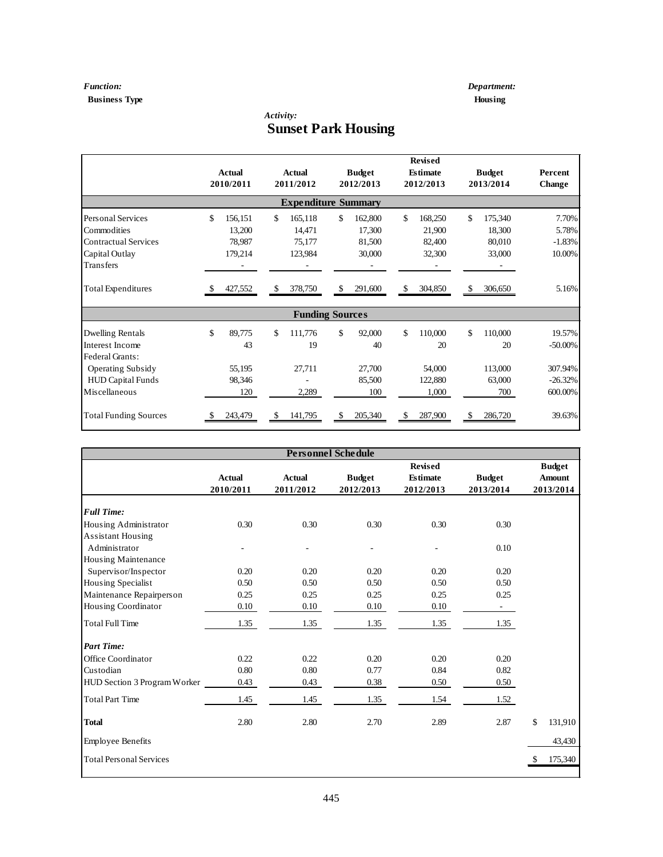## *Function: Department:* **Business Type Housing**

# *Activity:* **Sunset Park Housing**

|                              | <b>Actual</b><br>2010/2011 |     | <b>Actual</b><br>2011/2012 |     | <b>Budget</b><br>2012/2013 |    | <b>Revised</b><br><b>Estimate</b><br>2012/2013 |     | <b>Budget</b><br>2013/2014 | Percent<br>Change |
|------------------------------|----------------------------|-----|----------------------------|-----|----------------------------|----|------------------------------------------------|-----|----------------------------|-------------------|
|                              |                            |     | <b>Expenditure Summary</b> |     |                            |    |                                                |     |                            |                   |
| Personal Services            | \$<br>156,151              | \$. | 165,118                    | \$. | 162,800                    | \$ | 168,250                                        | \$  | 175,340                    | 7.70%             |
| Commodities                  | 13,200                     |     | 14.471                     |     | 17,300                     |    | 21,900                                         |     | 18,300                     | 5.78%             |
| <b>Contractual Services</b>  | 78,987                     |     | 75,177                     |     | 81,500                     |    | 82,400                                         |     | 80,010                     | $-1.83%$          |
| Capital Outlay               | 179,214                    |     | 123,984                    |     | 30,000                     |    | 32,300                                         |     | 33,000                     | 10.00%            |
| <b>Transfers</b>             |                            |     |                            |     |                            |    |                                                |     |                            |                   |
| <b>Total Expenditures</b>    | 427,552                    | \$  | 378,750                    | \$  | 291,600                    | \$ | 304,850                                        | \$  | 306,650                    | 5.16%             |
|                              |                            |     | <b>Funding Sources</b>     |     |                            |    |                                                |     |                            |                   |
| Dwelling Rentals             | \$<br>89,775               | \$. | 111,776                    | \$. | 92,000                     | \$ | 110,000                                        | \$  | 110,000                    | 19.57%            |
| Interest Income              | 43                         |     | 19                         |     | 40                         |    | 20                                             |     | 20                         | $-50.00\%$        |
| Federal Grants:              |                            |     |                            |     |                            |    |                                                |     |                            |                   |
| <b>Operating Subsidy</b>     | 55,195                     |     | 27,711                     |     | 27,700                     |    | 54,000                                         |     | 113,000                    | 307.94%           |
| <b>HUD Capital Funds</b>     | 98,346                     |     |                            |     | 85,500                     |    | 122,880                                        |     | 63,000                     | $-26.32%$         |
| Miscellaneous                | 120                        |     | 2,289                      |     | 100                        |    | 1,000                                          |     | 700                        | 600.00%           |
| <b>Total Funding Sources</b> | 243,479                    | \$. | 141,795                    | \$. | 205,340                    | S  | 287,900                                        | \$. | 286,720                    | 39.63%            |

|                                |               |               | <b>Personnel Schedule</b> |                 |               |               |
|--------------------------------|---------------|---------------|---------------------------|-----------------|---------------|---------------|
|                                |               |               |                           | <b>Revised</b>  |               | <b>Budget</b> |
|                                | <b>Actual</b> | <b>Actual</b> | <b>Budget</b>             | <b>Estimate</b> | <b>Budget</b> | <b>Amount</b> |
|                                | 2010/2011     | 2011/2012     | 2012/2013                 | 2012/2013       | 2013/2014     | 2013/2014     |
| <b>Full Time:</b>              |               |               |                           |                 |               |               |
| Housing Administrator          | 0.30          | 0.30          | 0.30                      | 0.30            | 0.30          |               |
| Assistant Housing              |               |               |                           |                 |               |               |
| Administrator                  |               |               |                           |                 | 0.10          |               |
| Housing Maintenance            |               |               |                           |                 |               |               |
| Supervisor/Inspector           | 0.20          | 0.20          | 0.20                      | 0.20            | 0.20          |               |
| Housing Specialist             | 0.50          | 0.50          | 0.50                      | 0.50            | 0.50          |               |
| Maintenance Repairperson       | 0.25          | 0.25          | 0.25                      | 0.25            | 0.25          |               |
| Housing Coordinator            | 0.10          | 0.10          | 0.10                      | 0.10            | $\sim$        |               |
| <b>Total Full Time</b>         | 1.35          | 1.35          | 1.35                      | 1.35            | 1.35          |               |
| <b>Part Time:</b>              |               |               |                           |                 |               |               |
| Office Coordinator             | 0.22          | 0.22          | 0.20                      | 0.20            | 0.20          |               |
| Custodian                      | 0.80          | 0.80          | 0.77                      | 0.84            | 0.82          |               |
| HUD Section 3 Program Worker   | 0.43          | 0.43          | 0.38                      | 0.50            | 0.50          |               |
| <b>Total Part Time</b>         | 1.45          | 1.45          | 1.35                      | 1.54            | 1.52          |               |
| <b>Total</b>                   | 2.80          | 2.80          | 2.70                      | 2.89            | 2.87          | \$<br>131,910 |
| <b>Employee Benefits</b>       |               |               |                           |                 |               | 43,430        |
| <b>Total Personal Services</b> |               |               |                           |                 |               | 175,340       |
|                                |               |               |                           |                 |               |               |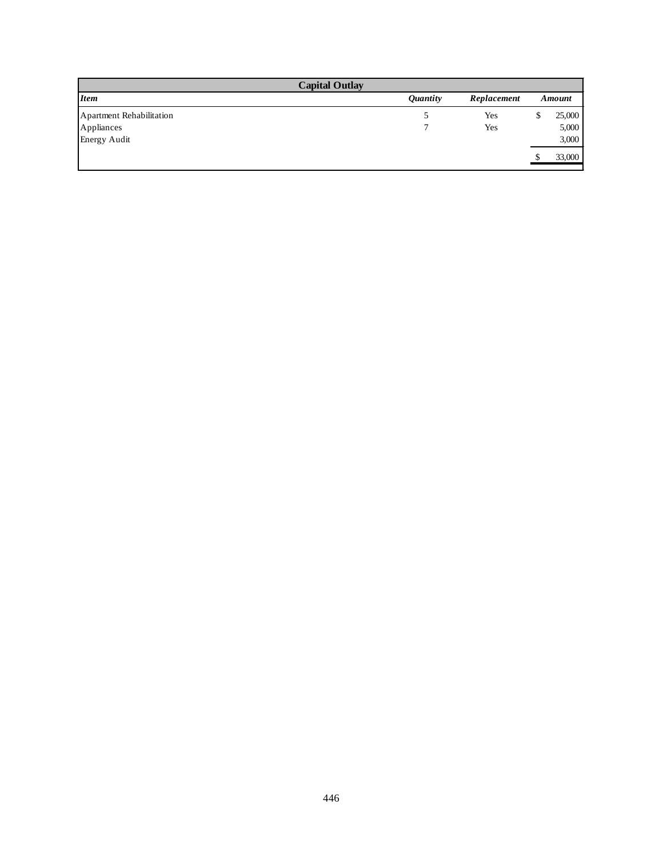|                          | <b>Capital Outlay</b>  |             |   |        |
|--------------------------|------------------------|-------------|---|--------|
| <b>Item</b>              | <i><b>Quantity</b></i> | Replacement |   | Amount |
| Apartment Rehabilitation |                        | Yes         | ъ | 25,000 |
| Appliances               |                        | Yes         |   | 5,000  |
| <b>Energy Audit</b>      |                        |             |   | 3,000  |
|                          |                        |             |   | 33,000 |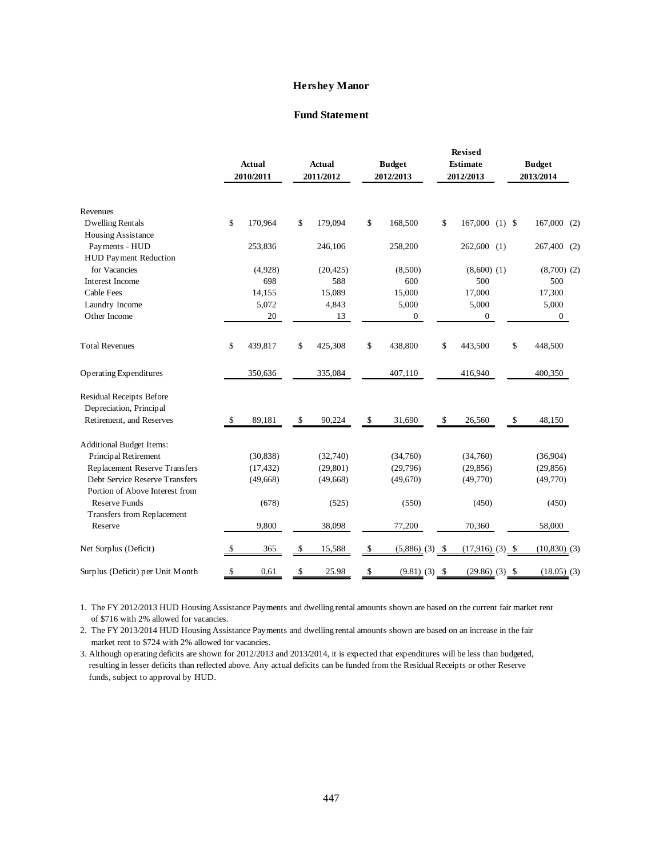#### **Hershey Manor**

#### **Fund Statement**

|                                  |              | <b>Actual</b><br>2010/2011 | <b>Actual</b><br>2011/2012 | <b>Budget</b><br>2012/2013 | <b>Revised</b><br><b>Estimate</b><br>2012/2013 |    | <b>Budget</b><br>2013/2014 |  |
|----------------------------------|--------------|----------------------------|----------------------------|----------------------------|------------------------------------------------|----|----------------------------|--|
| Revenues                         |              |                            |                            |                            |                                                |    |                            |  |
| <b>Dwelling Rentals</b>          | \$           | 170,964                    | \$<br>179,094              | \$<br>168,500              | \$<br>$167,000$ (1) \$                         |    | $167,000$ (2)              |  |
| Housing Assistance               |              |                            |                            |                            |                                                |    |                            |  |
| Payments - HUD                   |              | 253,836                    | 246,106                    | 258,200                    | $262,600$ (1)                                  |    | 267,400 (2)                |  |
| HUD Payment Reduction            |              |                            |                            |                            |                                                |    |                            |  |
| for Vacancies                    |              | (4,928)                    | (20, 425)                  | (8,500)                    | $(8,600)$ $(1)$                                |    | $(8,700)$ $(2)$            |  |
| Interest Income                  |              | 698                        | 588                        | 600                        | 500                                            |    | 500                        |  |
| <b>Cable Fees</b>                |              | 14,155                     | 15,089                     | 15,000                     | 17,000                                         |    | 17,300                     |  |
| Laundry Income                   |              | 5,072                      | 4,843                      | 5,000                      | 5,000                                          |    | 5,000                      |  |
| Other Income                     |              | 20                         | 13                         | $\mathbf{0}$               | $\mathbf{0}$                                   |    | $\overline{0}$             |  |
| <b>Total Revenues</b>            | \$           | 439,817                    | \$<br>425,308              | \$<br>438,800              | \$<br>443,500                                  | \$ | 448,500                    |  |
| Operating Expenditures           |              | 350,636                    | 335,084                    | 407,110                    | 416,940                                        |    | 400,350                    |  |
| Residual Receipts Before         |              |                            |                            |                            |                                                |    |                            |  |
| Depreciation, Principal          |              |                            |                            |                            |                                                |    |                            |  |
| Retirement, and Reserves         | $\mathbb{S}$ | 89,181                     | \$<br>90,224               | \$<br>31,690               | \$<br>26,560                                   | \$ | 48,150                     |  |
| <b>Additional Budget Items:</b>  |              |                            |                            |                            |                                                |    |                            |  |
| Principal Retirement             |              | (30, 838)                  | (32,740)                   | (34,760)                   | (34,760)                                       |    | (36,904)                   |  |
| Replacement Reserve Transfers    |              | (17, 432)                  | (29, 801)                  | (29,796)                   | (29, 856)                                      |    | (29, 856)                  |  |
| Debt Service Reserve Transfers   |              | (49,668)                   | (49,668)                   | (49,670)                   | (49,770)                                       |    | (49,770)                   |  |
| Portion of Above Interest from   |              |                            |                            |                            |                                                |    |                            |  |
| <b>Reserve Funds</b>             |              | (678)                      | (525)                      | (550)                      | (450)                                          |    | (450)                      |  |
| Transfers from Replacement       |              |                            |                            |                            |                                                |    |                            |  |
| Reserve                          |              | 9,800                      | 38,098                     | 77,200                     | 70,360                                         |    | 58,000                     |  |
| Net Surplus (Deficit)            | \$           | 365                        | \$<br>15,588               | \$<br>$(5,886)$ $(3)$ \$   | $(17,916)$ $(3)$ \$                            |    | $(10, 830)$ (3)            |  |
| Surplus (Deficit) per Unit Month | \$           | 0.61                       | \$<br>25.98                | \$<br>$(9.81)$ $(3)$ \$    | $(29.86)$ $(3)$ \$                             |    | $(18.05)$ (3)              |  |

1. The FY 2012/2013 HUD Housing Assistance Payments and dwelling rental amounts shown are based on the current fair market rent of \$716 with 2% allowed for vacancies.

2. The FY 2013/2014 HUD Housing Assistance Payments and dwelling rental amounts shown are based on an increase in the fair market rent to \$724 with 2% allowed for vacancies.

3. Although operating deficits are shown for 2012/2013 and 2013/2014, it is expected that expenditures will be less than budgeted, resulting in lesser deficits than reflected above. Any actual deficits can be funded from the Residual Receipts or other Reserve funds, subject to approval by HUD.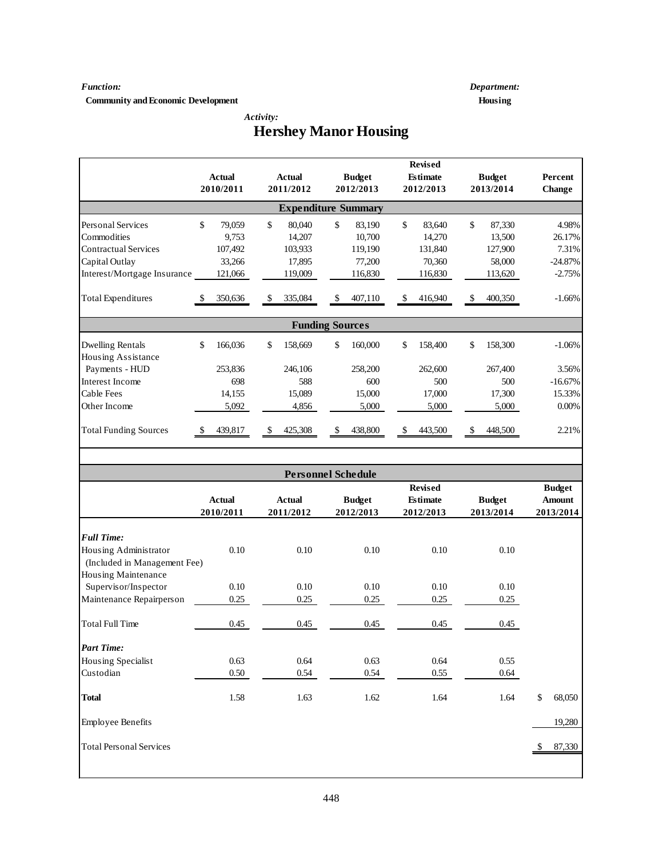#### *Function: Department:*

**Community and Economic Development Housing** 

 *Activity:*

# **Hershey Manor Housing**

|                                |               |               |                            | <b>Revised</b>  |               |               |
|--------------------------------|---------------|---------------|----------------------------|-----------------|---------------|---------------|
|                                | <b>Actual</b> | <b>Actual</b> | <b>Budget</b>              | <b>Estimate</b> | <b>Budget</b> | Percent       |
|                                | 2010/2011     | 2011/2012     | 2012/2013                  | 2012/2013       | 2013/2014     | Change        |
|                                |               |               | <b>Expenditure Summary</b> |                 |               |               |
| Personal Services              | \$<br>79,059  | \$<br>80,040  | \$<br>83,190               | \$<br>83,640    | \$<br>87,330  | 4.98%         |
| Commodities                    | 9,753         | 14,207        | 10,700                     | 14,270          | 13,500        | 26.17%        |
| <b>Contractual Services</b>    | 107,492       | 103,933       | 119,190                    | 131,840         | 127,900       | 7.31%         |
| Capital Outlay                 | 33,266        | 17,895        | 77,200                     | 70,360          | 58,000        | $-24.87%$     |
| Interest/Mortgage Insurance    | 121,066       | 119,009       | 116,830                    | 116,830         | 113,620       | $-2.75%$      |
| <b>Total Expenditures</b>      | 350,636       | \$<br>335,084 | \$<br>407,110              | \$<br>416,940   | \$<br>400,350 | $-1.66%$      |
|                                |               |               | <b>Funding Sources</b>     |                 |               |               |
| <b>Dwelling Rentals</b>        | \$<br>166,036 | \$<br>158,669 | \$<br>160,000              | \$<br>158,400   | \$<br>158,300 | $-1.06%$      |
| Housing Assistance             |               |               |                            |                 |               |               |
| Payments - HUD                 | 253,836       | 246,106       | 258,200                    | 262,600         | 267,400       | 3.56%         |
| Interest Income                | 698           | 588           | 600                        | 500             | 500           | $-16.67%$     |
| Cable Fees                     | 14,155        | 15,089        | 15,000                     | 17,000          | 17,300        | 15.33%        |
| Other Income                   | 5,092         | 4,856         | 5,000                      | 5,000           | 5,000         | $0.00\%$      |
|                                |               |               |                            |                 |               |               |
| <b>Total Funding Sources</b>   | 439,817       | 425,308<br>\$ | 438,800<br>\$              | 443,500<br>\$   | 448,500<br>\$ | 2.21%         |
|                                |               |               |                            |                 |               |               |
|                                |               |               | <b>Personnel Schedule</b>  |                 |               |               |
|                                |               |               |                            | <b>Revised</b>  |               | <b>Budget</b> |
|                                | Actual        | <b>Actual</b> | <b>Budget</b>              | <b>Estimate</b> | <b>Budget</b> | <b>Amount</b> |
|                                | 2010/2011     | 2011/2012     | 2012/2013                  | 2012/2013       | 2013/2014     | 2013/2014     |
| <b>Full Time:</b>              |               |               |                            |                 |               |               |
| Housing Administrator          | 0.10          | 0.10          | 0.10                       | 0.10            | 0.10          |               |
| (Included in Management Fee)   |               |               |                            |                 |               |               |
| Housing Maintenance            |               |               |                            |                 |               |               |
| Supervisor/Inspector           | 0.10          | 0.10          | 0.10                       | 0.10            | 0.10          |               |
| Maintenance Repairperson       | 0.25          | 0.25          | 0.25                       | 0.25            | 0.25          |               |
|                                |               |               |                            |                 |               |               |
| <b>Total Full Time</b>         | 0.45          | 0.45          | 0.45                       | 0.45            | 0.45          |               |
| <b>Part Time:</b>              |               |               |                            |                 |               |               |
| Housing Specialist             | 0.63          | 0.64          | 0.63                       | 0.64            | 0.55          |               |
| Custodian                      | 0.50          | 0.54          | 0.54                       | 0.55            | 0.64          |               |
|                                |               |               |                            |                 |               |               |
| <b>Total</b>                   | 1.58          | 1.63          | 1.62                       | 1.64            | 1.64          | \$<br>68,050  |
| <b>Employee Benefits</b>       |               |               |                            |                 |               | 19,280        |
| <b>Total Personal Services</b> |               |               |                            |                 |               | 87,330<br>\$  |
|                                |               |               |                            |                 |               |               |
|                                |               |               |                            |                 |               |               |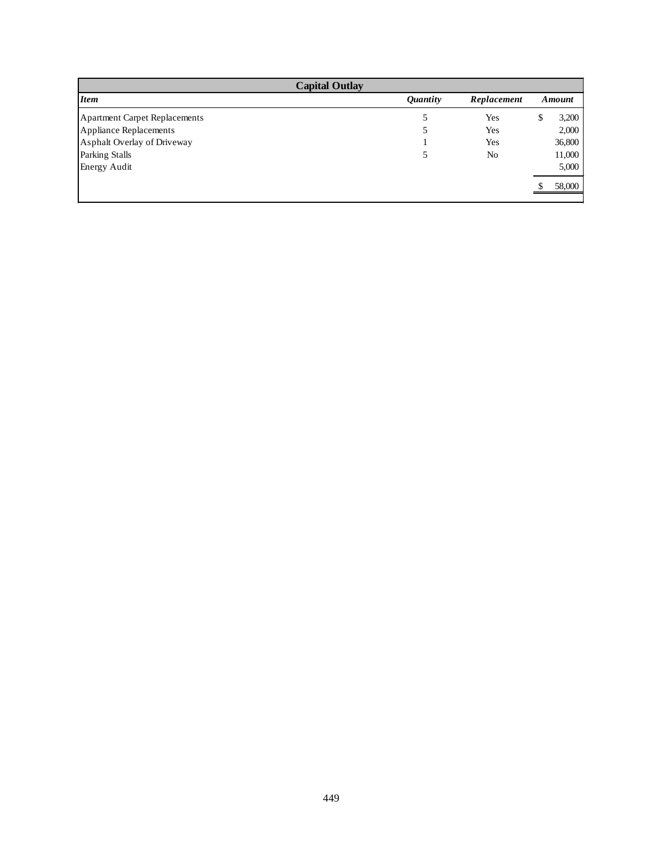| <b>Capital Outlay</b><br><i>Item</i> |                |    |        |  |  |  |  |  |  |  |  |
|--------------------------------------|----------------|----|--------|--|--|--|--|--|--|--|--|
| <i><b>Quantity</b></i>               | Replacement    |    | Amount |  |  |  |  |  |  |  |  |
| 5                                    | Yes            | Ъ. | 3,200  |  |  |  |  |  |  |  |  |
|                                      | Yes            |    | 2,000  |  |  |  |  |  |  |  |  |
|                                      | Yes            |    | 36,800 |  |  |  |  |  |  |  |  |
|                                      | N <sub>0</sub> |    | 11,000 |  |  |  |  |  |  |  |  |
|                                      |                |    | 5,000  |  |  |  |  |  |  |  |  |
|                                      |                |    | 58,000 |  |  |  |  |  |  |  |  |
|                                      |                |    |        |  |  |  |  |  |  |  |  |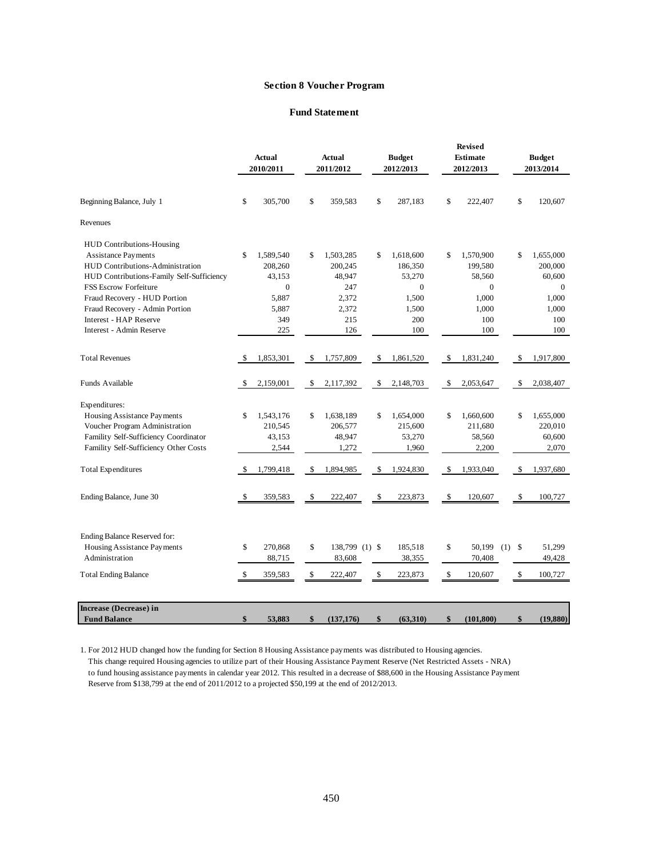#### **Section 8 Voucher Program**

#### **Fund Statement**

|                                           |    |               |                      |                 | Revised          |                           |               |
|-------------------------------------------|----|---------------|----------------------|-----------------|------------------|---------------------------|---------------|
|                                           |    | <b>Actual</b> | <b>Actual</b>        | <b>Budget</b>   | <b>Estimate</b>  |                           | <b>Budget</b> |
|                                           |    | 2010/2011     | 2011/2012            | 2012/2013       | 2012/2013        |                           | 2013/2014     |
| Beginning Balance, July 1                 | \$ | 305,700       | \$<br>359,583        | \$<br>287,183   | \$<br>222,407    | \$                        | 120,607       |
| Revenues                                  |    |               |                      |                 |                  |                           |               |
| <b>HUD Contributions-Housing</b>          |    |               |                      |                 |                  |                           |               |
| Assistance Payments                       | \$ | 1,589,540     | \$<br>1,503,285      | \$<br>1,618,600 | \$<br>1,570,900  | \$                        | 1,655,000     |
| HUD Contributions-Administration          |    | 208,260       | 200,245              | 186,350         | 199,580          |                           | 200,000       |
| HUD Contributions-Family Self-Sufficiency |    | 43,153        | 48,947               | 53,270          | 58,560           |                           | 60,600        |
| <b>FSS Escrow Forfeiture</b>              |    | $\mathbf{0}$  | 247                  | $\overline{0}$  | $\mathbf{0}$     |                           | $\theta$      |
| Fraud Recovery - HUD Portion              |    | 5,887         | 2,372                | 1,500           | 1,000            |                           | 1,000         |
| Fraud Recovery - Admin Portion            |    | 5,887         | 2,372                | 1,500           | 1,000            |                           | 1,000         |
| Interest - HAP Reserve                    |    | 349           | 215                  | 200             | 100              |                           | 100           |
| Interest - Admin Reserve                  |    | 225           | 126                  | 100             | 100              |                           | 100           |
| <b>Total Revenues</b>                     | S  | 1,853,301     | \$<br>1,757,809      | \$<br>1,861,520 | \$<br>1,831,240  | \$                        | 1,917,800     |
| Funds Available                           | -S | 2,159,001     | \$<br>2,117,392      | \$<br>2,148,703 | \$<br>2,053,647  | \$                        | 2,038,407     |
| Expenditures:                             |    |               |                      |                 |                  |                           |               |
| Housing Assistance Payments               | \$ | 1,543,176     | \$<br>1,638,189      | \$<br>1,654,000 | \$<br>1,660,600  | \$                        | 1,655,000     |
| Voucher Program Administration            |    | 210,545       | 206,577              | 215,600         | 211,680          |                           | 220,010       |
| Famility Self-Sufficiency Coordinator     |    | 43,153        | 48,947               | 53,270          | 58,560           |                           | 60,600        |
| Famility Self-Sufficiency Other Costs     |    | 2,544         | 1,272                | 1,960           | 2,200            |                           | 2,070         |
| <b>Total Expenditures</b>                 | \$ | 1,799,418     | \$<br>1,894,985      | \$<br>1,924,830 | \$<br>1,933,040  | <sup>\$</sup>             | 1,937,680     |
| Ending Balance, June 30                   | \$ | 359,583       | \$<br>222,407        | \$<br>223,873   | \$<br>120,607    | \$                        | 100,727       |
|                                           |    |               |                      |                 |                  |                           |               |
| Ending Balance Reserved for:              |    |               |                      |                 |                  |                           |               |
| Housing Assistance Payments               | \$ | 270,868       | \$<br>138,799 (1) \$ | 185,518         | \$<br>50,199     | $\mathbf{\hat{S}}$<br>(1) | 51,299        |
| Administration                            |    | 88,715        | 83,608               | 38,355          | 70,408           |                           | 49,428        |
| <b>Total Ending Balance</b>               | \$ | 359,583       | \$<br>222,407        | \$<br>223,873   | \$<br>120,607    | \$                        | 100,727       |
| Increase (Decrease) in                    |    |               |                      |                 |                  |                           |               |
| <b>Fund Balance</b>                       | \$ | 53,883        | \$<br>(137, 176)     | \$<br>(63,310)  | \$<br>(101, 800) | \$                        | (19, 880)     |

1. For 2012 HUD changed how the funding for Section 8 Housing Assistance payments was distributed to Housing agencies. This change required Housing agencies to utilize part of their Housing Assistance Payment Reserve (Net Restricted Assets - NRA) to fund housing assistance payments in calendar year 2012. This resulted in a decrease of \$88,600 in the Housing Assistance Payment Reserve from \$138,799 at the end of 2011/2012 to a projected \$50,199 at the end of 2012/2013.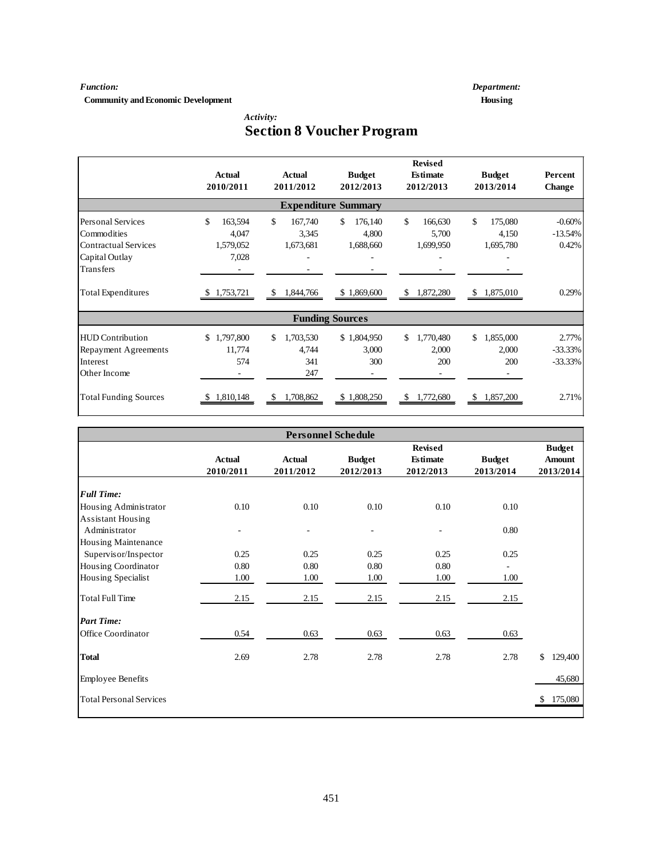**Community and Economic Development Housing** 

*Function: Department:*

 *Activity:*

# **Section 8 Voucher Program**

|                              | Actual<br>2010/2011 | Actual<br>2011/2012 | <b>Budget</b><br>2012/2013 | <b>Revised</b><br><b>Estimate</b><br>2012/2013 | <b>Budget</b><br>2013/2014 | Percent<br><b>Change</b> |
|------------------------------|---------------------|---------------------|----------------------------|------------------------------------------------|----------------------------|--------------------------|
|                              |                     |                     | <b>Expenditure Summary</b> |                                                |                            |                          |
| <b>Personal Services</b>     | \$<br>163,594       | \$<br>167,740       | \$.<br>176,140             | $\mathcal{S}$<br>166,630                       | $\mathcal{S}$<br>175,080   | $-0.60%$                 |
| Commodities                  | 4,047               | 3,345               | 4,800                      | 5,700                                          | 4,150                      | $-13.54%$                |
| <b>Contractual Services</b>  | 1,579,052           | 1,673,681           | 1,688,660                  | 1,699,950                                      | 1,695,780                  | 0.42%                    |
| Capital Outlay               | 7,028               |                     |                            |                                                |                            |                          |
| <b>Transfers</b>             |                     |                     |                            |                                                |                            |                          |
| <b>Total Expenditures</b>    | \$1,753,721         | 1,844,766<br>\$     | \$1,869,600                | \$ 1,872,280                                   | \$1,875,010                | 0.29%                    |
|                              |                     |                     | <b>Funding Sources</b>     |                                                |                            |                          |
| <b>HUD</b> Contribution      | 1,797,800<br>\$     | 1,703,530<br>\$.    | \$1,804,950                | \$<br>1,770,480                                | \$<br>1,855,000            | 2.77%                    |
| Repayment Agreements         | 11,774              | 4,744               | 3,000                      | 2,000                                          | 2,000                      | $-33.33\%$               |
| Interest                     | 574                 | 341                 | 300                        | 200                                            | 200                        | $-33.33%$                |
| Other Income                 |                     | 247                 | ۰                          |                                                |                            |                          |
| <b>Total Funding Sources</b> | 1,810,148           | 1,708,862<br>S      | \$1,808,250                | 1,772,680<br>S.                                | S.<br>1,857,200            | 2.71%                    |

|                                |               |               | <b>Personnel Schedule</b> |                 |               |               |
|--------------------------------|---------------|---------------|---------------------------|-----------------|---------------|---------------|
|                                |               |               |                           | Revised         |               | <b>Budget</b> |
|                                | <b>Actual</b> | <b>Actual</b> | <b>Budget</b>             | <b>Estimate</b> | <b>Budget</b> | <b>Amount</b> |
|                                | 2010/2011     | 2011/2012     | 2012/2013                 | 2012/2013       | 2013/2014     | 2013/2014     |
| <b>Full Time:</b>              |               |               |                           |                 |               |               |
| Housing Administrator          | 0.10          | 0.10          | 0.10                      | 0.10            | 0.10          |               |
| Assistant Housing              |               |               |                           |                 |               |               |
| Administrator                  |               |               |                           |                 | 0.80          |               |
| Housing Maintenance            |               |               |                           |                 |               |               |
| Supervisor/Inspector           | 0.25          | 0.25          | 0.25                      | 0.25            | 0.25          |               |
| Housing Coordinator            | 0.80          | 0.80          | 0.80                      | 0.80            | ÷,            |               |
| Housing Specialist             | 1.00          | 1.00          | 1.00                      | 1.00            | 1.00          |               |
| <b>Total Full Time</b>         | 2.15          | 2.15          | 2.15                      | 2.15            | 2.15          |               |
| <b>Part Time:</b>              |               |               |                           |                 |               |               |
| Office Coordinator             | 0.54          | 0.63          | 0.63                      | 0.63            | 0.63          |               |
| <b>Total</b>                   | 2.69          | 2.78          | 2.78                      | 2.78            | 2.78          | \$<br>129,400 |
| <b>Employee Benefits</b>       |               |               |                           |                 |               | 45,680        |
| <b>Total Personal Services</b> |               |               |                           |                 |               | \$175,080     |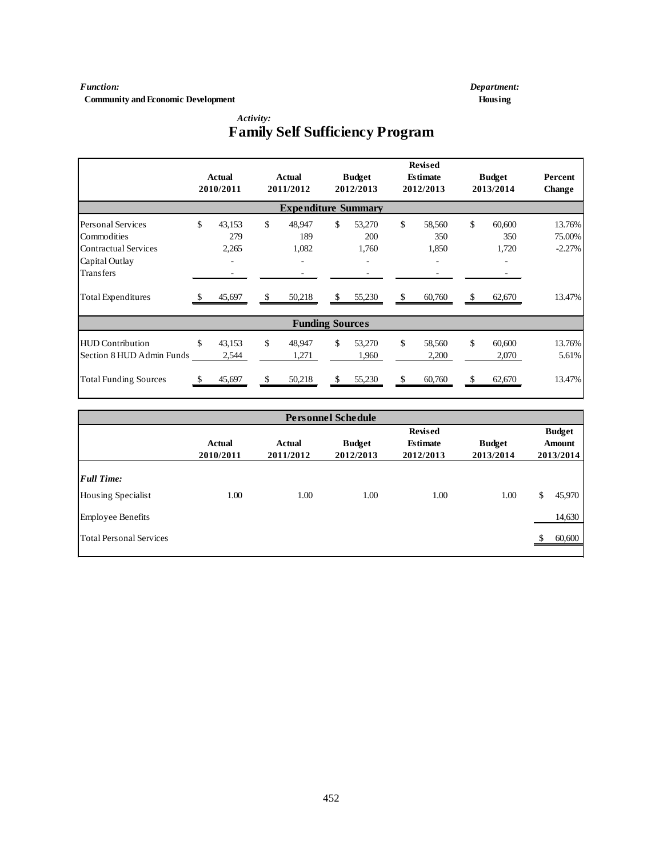**Community and Economic Development Housing** 

*Function: Department:*

 *Activity:*

# **Family Self Sufficiency Program**

|                              |    | <b>Actual</b><br>2010/2011 |     | <b>Actual</b><br>2011/2012 |    | <b>Budget</b><br>2012/2013 |               | <b>Revised</b><br><b>Estimate</b><br>2012/2013 |    | <b>Budget</b><br>2013/2014 | Percent<br>Change |
|------------------------------|----|----------------------------|-----|----------------------------|----|----------------------------|---------------|------------------------------------------------|----|----------------------------|-------------------|
| <b>Expenditure Summary</b>   |    |                            |     |                            |    |                            |               |                                                |    |                            |                   |
| <b>Personal Services</b>     | \$ | 43,153                     | \$  | 48,947                     | \$ | 53,270                     | \$            | 58,560                                         | \$ | 60,600                     | 13.76%            |
| Commodities                  |    | 279                        |     | 189                        |    | 200                        |               | 350                                            |    | 350                        | 75.00%            |
| <b>Contractual Services</b>  |    | 2,265                      |     | 1,082                      |    | 1,760                      |               | 1,850                                          |    | 1,720                      | $-2.27%$          |
| Capital Outlay               |    |                            |     | ٠                          |    |                            |               |                                                |    |                            |                   |
| Transfers                    |    |                            |     |                            |    |                            |               |                                                |    |                            |                   |
| <b>Total Expenditures</b>    |    | 45,697                     | -\$ | 50,218                     | \$ | 55,230                     | $\mathcal{S}$ | 60,760                                         | \$ | 62,670                     | 13.47%            |
|                              |    |                            |     | <b>Funding Sources</b>     |    |                            |               |                                                |    |                            |                   |
| <b>HUD</b> Contribution      | \$ | 43,153                     | \$  | 48,947                     | \$ | 53,270                     | \$            | 58,560                                         | \$ | 60,600                     | 13.76%            |
| Section 8 HUD Admin Funds    |    | 2,544                      |     | 1,271                      |    | 1,960                      |               | 2,200                                          |    | 2,070                      | 5.61%             |
| <b>Total Funding Sources</b> |    | 45,697                     | \$  | 50,218                     | \$ | 55,230                     | \$            | 60,760                                         | \$ | 62,670                     | 13.47%            |

|                                         |                            |                            | <b>Personnel Schedule</b>  |                                                |                            |                                             |
|-----------------------------------------|----------------------------|----------------------------|----------------------------|------------------------------------------------|----------------------------|---------------------------------------------|
|                                         | <b>Actual</b><br>2010/2011 | <b>Actual</b><br>2011/2012 | <b>Budget</b><br>2012/2013 | <b>Revised</b><br><b>Estimate</b><br>2012/2013 | <b>Budget</b><br>2013/2014 | <b>Budget</b><br><b>Amount</b><br>2013/2014 |
| <b>Full Time:</b><br>Housing Specialist | 1.00                       | 1.00                       | 1.00                       | 1.00                                           | 1.00                       | 45,970<br>\$                                |
| <b>Employee Benefits</b>                |                            |                            |                            |                                                |                            | 14,630                                      |
| <b>Total Personal Services</b>          |                            |                            |                            |                                                |                            | 60,600                                      |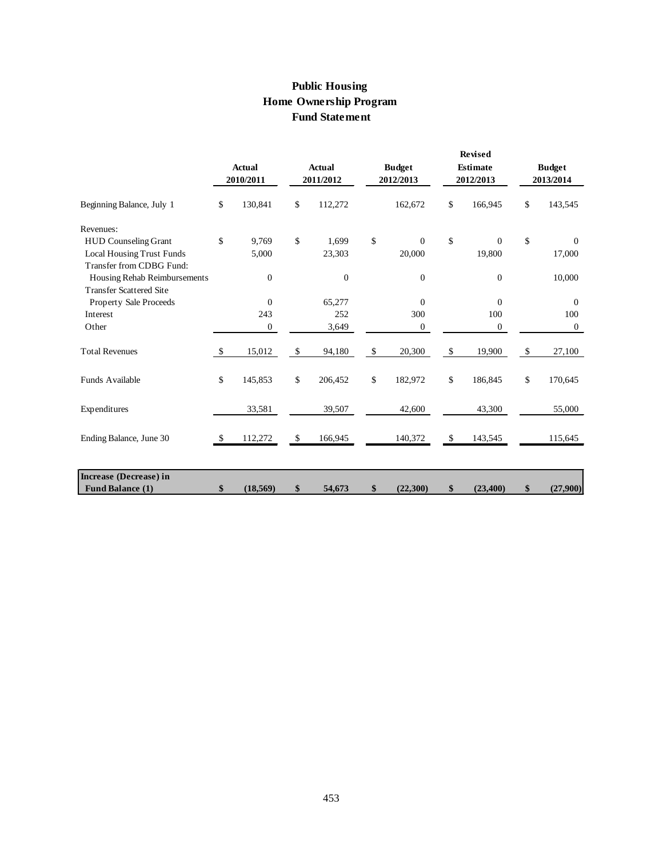# **Public Housing Home Ownership Program Fund Statement**

|                                                                |              | <b>Actual</b><br>2010/2011 |              | <b>Actual</b><br>2011/2012 | <b>Budget</b><br>2012/2013 |              | Revised<br><b>Estimate</b><br>2012/2013 |      | <b>Budget</b><br>2013/2014 |
|----------------------------------------------------------------|--------------|----------------------------|--------------|----------------------------|----------------------------|--------------|-----------------------------------------|------|----------------------------|
| Beginning Balance, July 1                                      | \$           | 130,841                    | \$           | 112,272                    | 162,672                    | \$           | 166,945                                 | \$   | 143,545                    |
| Revenues:                                                      |              |                            |              |                            |                            |              |                                         |      |                            |
| <b>HUD Counseling Grant</b>                                    | \$           | 9,769                      | \$           | 1,699                      | \$<br>$\Omega$             | \$           | $\mathbf{0}$                            | \$   | $\mathbf{0}$               |
| <b>Local Housing Trust Funds</b><br>Transfer from CDBG Fund:   |              | 5,000                      |              | 23,303                     | 20,000                     |              | 19,800                                  |      | 17,000                     |
| Housing Rehab Reimbursements<br><b>Transfer Scattered Site</b> |              | $\mathbf{0}$               |              | $\boldsymbol{0}$           | $\boldsymbol{0}$           |              | $\mathbf{0}$                            |      | 10,000                     |
| Property Sale Proceeds                                         |              | $\mathbf{0}$               |              | 65,277                     | $\mathbf{0}$               |              | $\Omega$                                |      | $\mathbf{0}$               |
| Interest                                                       |              | 243                        |              | 252                        | 300                        |              | 100                                     |      | 100                        |
| Other                                                          |              | $\mathbf{0}$               |              | 3,649                      | $\mathbf{0}$               |              | $\mathbf{0}$                            |      | $\mathbf{0}$               |
| <b>Total Revenues</b>                                          | $\mathbb{S}$ | 15,012                     | $\mathbb{S}$ | 94,180                     | \$<br>20,300               | $\mathbb{S}$ | 19,900                                  | $\$$ | 27,100                     |
| Funds Available                                                | \$           | 145,853                    | \$           | 206,452                    | \$<br>182,972              | \$           | 186,845                                 | \$   | 170,645                    |
| Expenditures                                                   |              | 33,581                     |              | 39,507                     | 42,600                     |              | 43,300                                  |      | 55,000                     |
| Ending Balance, June 30                                        | -8           | 112,272                    | \$           | 166,945                    | 140,372                    | \$           | 143,545                                 |      | 115,645                    |
|                                                                |              |                            |              |                            |                            |              |                                         |      |                            |
| Increase (Decrease) in                                         |              |                            |              |                            |                            |              |                                         |      |                            |
| <b>Fund Balance (1)</b>                                        | \$           | (18, 569)                  | \$           | 54,673                     | \$<br>(22,300)             | \$           | (23, 400)                               | \$   | (27,900)                   |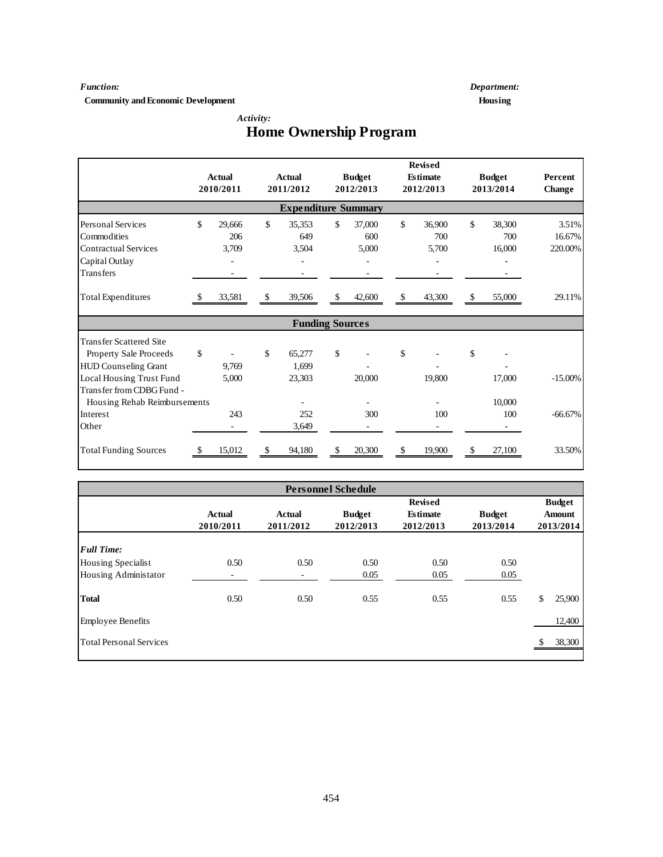#### *Function: Department:*

**Community and Economic Development Housing** 

 *Activity:*

|                                |     | <b>Actual</b><br>2010/2011 |     | Actual<br>2011/2012        |                    | <b>Budget</b><br>2012/2013 | <b>Revised</b><br><b>Fstimate</b><br>2012/2013 | <b>Budget</b><br>2013/2014 | <b>Percent</b><br><b>Change</b> |
|--------------------------------|-----|----------------------------|-----|----------------------------|--------------------|----------------------------|------------------------------------------------|----------------------------|---------------------------------|
|                                |     |                            |     | <b>Expenditure Summary</b> |                    |                            |                                                |                            |                                 |
| <b>Personal Services</b>       | \$  | 29,666                     | \$  | 35,353                     | \$                 | 37,000                     | \$<br>36,900                                   | \$<br>38,300               | 3.51%                           |
| Commodities                    |     | 206                        |     | 649                        |                    | 600                        | 700                                            | 700                        | 16.67%                          |
| <b>Contractual Services</b>    |     | 3,709                      |     | 3,504                      |                    | 5,000                      | 5,700                                          | 16,000                     | 220.00%                         |
| Capital Outlay                 |     |                            |     |                            |                    |                            |                                                |                            |                                 |
| Transfers                      |     |                            |     |                            |                    |                            |                                                |                            |                                 |
| <b>Total Expenditures</b>      | -8  | 33,581                     | -\$ | 39,506                     | <sup>\$</sup>      | 42,600                     | \$<br>43,300                                   | \$<br>55,000               | 29.11%                          |
|                                |     |                            |     | <b>Funding Sources</b>     |                    |                            |                                                |                            |                                 |
| <b>Transfer Scattered Site</b> |     |                            |     |                            |                    |                            |                                                |                            |                                 |
| Property Sale Proceeds         | \$  |                            | \$  | 65,277                     | \$                 |                            | \$                                             | \$                         |                                 |
| HUD Counseling Grant           |     | 9,769                      |     | 1.699                      |                    |                            |                                                |                            |                                 |
| Local Housing Trust Fund       |     | 5,000                      |     | 23,303                     |                    | 20,000                     | 19,800                                         | 17,000                     | $-15.00\%$                      |
| Transfer from CDBG Fund -      |     |                            |     |                            |                    |                            |                                                |                            |                                 |
| Housing Rehab Reimbursements   |     |                            |     |                            |                    |                            |                                                | 10,000                     |                                 |
| Interest                       |     | 243                        |     | 252                        |                    | 300                        | 100                                            | 100                        | $-66.67%$                       |
| Other                          |     |                            |     | 3,649                      |                    |                            |                                                |                            |                                 |
| <b>Total Funding Sources</b>   | -\$ | 15,012                     | \$  | 94,180                     | $\mathbf{\hat{S}}$ | 20,300                     | \$<br>19,900                                   | \$<br>27,100               | 33.50%                          |

# **Home Ownership Program**

|                                |                            |                            | <b>Personnel Schedule</b>  |                                                |                            |                                             |
|--------------------------------|----------------------------|----------------------------|----------------------------|------------------------------------------------|----------------------------|---------------------------------------------|
|                                | <b>Actual</b><br>2010/2011 | <b>Actual</b><br>2011/2012 | <b>Budget</b><br>2012/2013 | <b>Revised</b><br><b>Estimate</b><br>2012/2013 | <b>Budget</b><br>2013/2014 | <b>Budget</b><br><b>Amount</b><br>2013/2014 |
| <b>Full Time:</b>              |                            |                            |                            |                                                |                            |                                             |
| <b>Housing Specialist</b>      | 0.50                       | 0.50                       | 0.50                       | 0.50                                           | 0.50                       |                                             |
| Housing Administator           | -                          | ۰                          | 0.05                       | 0.05                                           | 0.05                       |                                             |
| <b>Total</b>                   | 0.50                       | 0.50                       | 0.55                       | 0.55                                           | 0.55                       | \$<br>25,900                                |
| <b>Employee Benefits</b>       |                            |                            |                            |                                                |                            | 12,400                                      |
| <b>Total Personal Services</b> |                            |                            |                            |                                                |                            | 38,300                                      |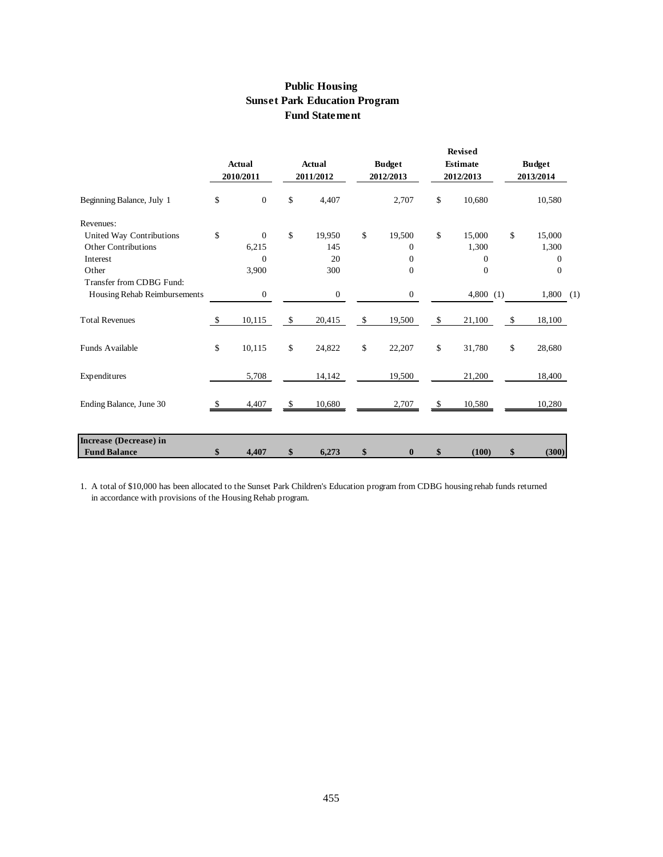# **Public Housing Sunset Park Education Program Fund Statement**

|                              |          |                            |    |                            |    |                            |               | <b>Revised</b>               |    |                            |  |
|------------------------------|----------|----------------------------|----|----------------------------|----|----------------------------|---------------|------------------------------|----|----------------------------|--|
|                              |          | <b>Actual</b><br>2010/2011 |    | <b>Actual</b><br>2011/2012 |    | <b>Budget</b><br>2012/2013 |               | <b>Estimate</b><br>2012/2013 |    | <b>Budget</b><br>2013/2014 |  |
| Beginning Balance, July 1    | \$       | $\overline{0}$             | \$ | 4,407                      |    | 2,707                      | \$            | 10,680                       |    | 10,580                     |  |
| Revenues:                    |          |                            |    |                            |    |                            |               |                              |    |                            |  |
| United Way Contributions     | \$       | $\mathbf{0}$               | \$ | 19,950                     | \$ | 19,500                     | $\mathbb{S}$  | 15,000                       | \$ | 15,000                     |  |
| Other Contributions          |          | 6,215                      |    | 145                        |    | $\Omega$                   |               | 1,300                        |    | 1,300                      |  |
| Interest                     |          | $\Omega$                   |    | 20                         |    | $\Omega$                   |               | $\Omega$                     |    | $\Omega$                   |  |
| Other                        |          | 3,900                      |    | 300                        |    | $\overline{0}$             |               | $\overline{0}$               |    | $\mathbf{0}$               |  |
| Transfer from CDBG Fund:     |          |                            |    |                            |    |                            |               |                              |    |                            |  |
| Housing Rehab Reimbursements |          | $\boldsymbol{0}$           |    | $\boldsymbol{0}$           |    | $\boldsymbol{0}$           |               | 4,800(1)                     |    | $1,800$ (1)                |  |
| <b>Total Revenues</b>        | \$       | 10,115                     | \$ | 20,415                     | \$ | 19,500                     | \$            | 21,100                       | \$ | 18,100                     |  |
| Funds Available              | \$       | 10,115                     | \$ | 24,822                     | \$ | 22,207                     | $\mathbb{S}$  | 31,780                       | \$ | 28,680                     |  |
| Expenditures                 |          | 5,708                      |    | 14,142                     |    | 19,500                     |               | 21,200                       |    | 18,400                     |  |
| Ending Balance, June 30      | <b>S</b> | 4,407                      | \$ | 10,680                     |    | 2,707                      | <sup>\$</sup> | 10,580                       |    | 10,280                     |  |
| Increase (Decrease) in       |          |                            |    |                            |    |                            |               |                              |    |                            |  |
|                              |          |                            |    |                            |    |                            |               |                              |    |                            |  |
| <b>Fund Balance</b>          | \$       | 4,407                      | \$ | 6,273                      | \$ | $\bf{0}$                   | \$            | (100)                        | \$ | (300)                      |  |

1. A total of \$10,000 has been allocated to the Sunset Park Children's Education program from CDBG housing rehab funds returned in accordance with provisions of the Housing Rehab program.